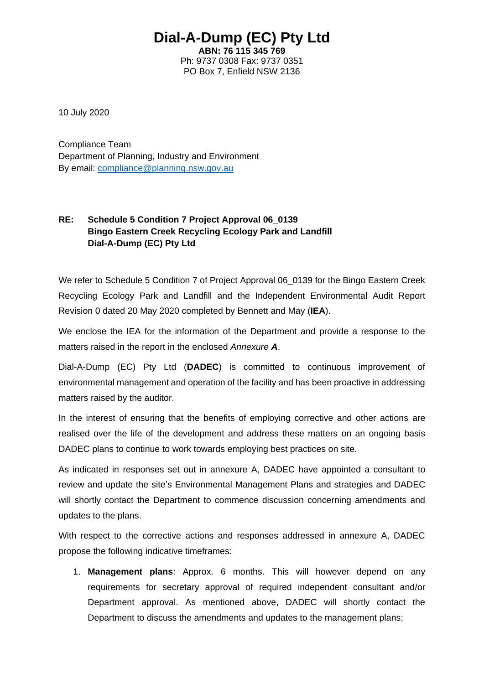## **Dial-A-Dump (EC) Pty Ltd**

**ABN: 76 115 345 769** Ph: 9737 0308 Fax: 9737 0351 PO Box 7, Enfield NSW 2136

10 July 2020

Compliance Team Department of Planning, Industry and Environment By email: [compliance@planning.nsw.gov.au](mailto:compliance@planning.nsw.gov.au)

## **RE: Schedule 5 Condition 7 Project Approval 06\_0139 Bingo Eastern Creek Recycling Ecology Park and Landfill Dial-A-Dump (EC) Pty Ltd**

We refer to Schedule 5 Condition 7 of Project Approval 06 0139 for the Bingo Eastern Creek Recycling Ecology Park and Landfill and the Independent Environmental Audit Report Revision 0 dated 20 May 2020 completed by Bennett and May (**IEA**).

We enclose the IEA for the information of the Department and provide a response to the matters raised in the report in the enclosed *Annexure A*.

Dial-A-Dump (EC) Pty Ltd (**DADEC**) is committed to continuous improvement of environmental management and operation of the facility and has been proactive in addressing matters raised by the auditor.

In the interest of ensuring that the benefits of employing corrective and other actions are realised over the life of the development and address these matters on an ongoing basis DADEC plans to continue to work towards employing best practices on site.

As indicated in responses set out in annexure A, DADEC have appointed a consultant to review and update the site's Environmental Management Plans and strategies and DADEC will shortly contact the Department to commence discussion concerning amendments and updates to the plans.

With respect to the corrective actions and responses addressed in annexure A, DADEC propose the following indicative timeframes:

1. **Management plans**: Approx. 6 months. This will however depend on any requirements for secretary approval of required independent consultant and/or Department approval. As mentioned above, DADEC will shortly contact the Department to discuss the amendments and updates to the management plans;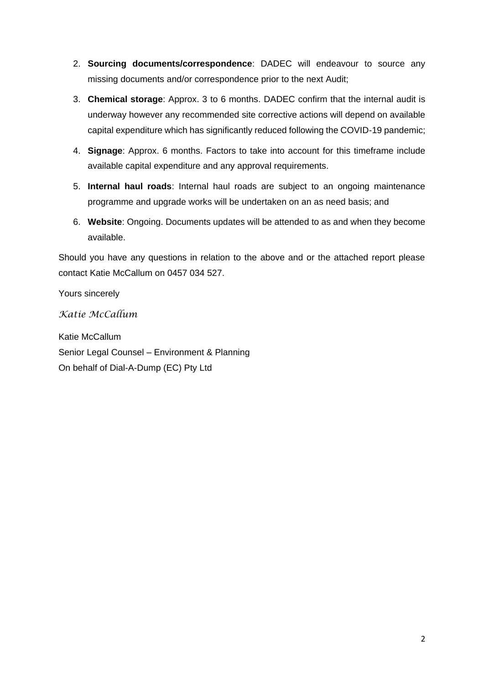- 2. **Sourcing documents/correspondence**: DADEC will endeavour to source any missing documents and/or correspondence prior to the next Audit;
- 3. **Chemical storage**: Approx. 3 to 6 months. DADEC confirm that the internal audit is underway however any recommended site corrective actions will depend on available capital expenditure which has significantly reduced following the COVID-19 pandemic;
- 4. **Signage**: Approx. 6 months. Factors to take into account for this timeframe include available capital expenditure and any approval requirements.
- 5. **Internal haul roads**: Internal haul roads are subject to an ongoing maintenance programme and upgrade works will be undertaken on an as need basis; and
- 6. **Website**: Ongoing. Documents updates will be attended to as and when they become available.

Should you have any questions in relation to the above and or the attached report please contact Katie McCallum on 0457 034 527.

Yours sincerely

*Katie McCallum*

Katie McCallum Senior Legal Counsel – Environment & Planning On behalf of Dial-A-Dump (EC) Pty Ltd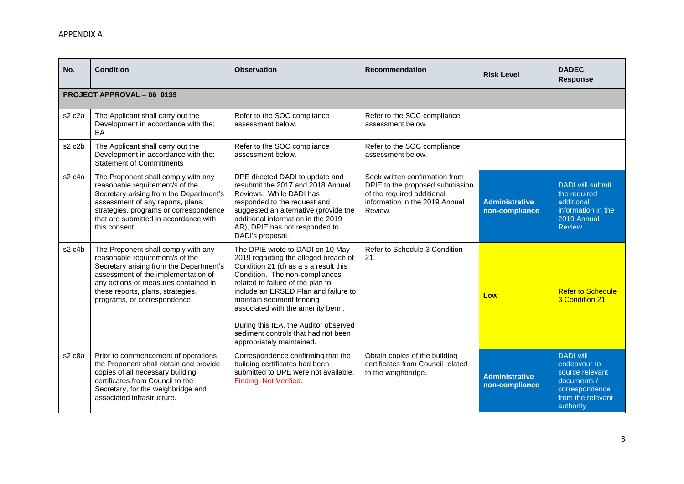| No.                            | <b>Condition</b>                                                                                                                                                                                                                                                      | <b>Observation</b>                                                                                                                                                                                                                                                                                                                                                                                              | <b>Recommendation</b>                                                                                                                        | <b>Risk Level</b>                       | <b>DADEC</b><br><b>Response</b>                                                                                        |
|--------------------------------|-----------------------------------------------------------------------------------------------------------------------------------------------------------------------------------------------------------------------------------------------------------------------|-----------------------------------------------------------------------------------------------------------------------------------------------------------------------------------------------------------------------------------------------------------------------------------------------------------------------------------------------------------------------------------------------------------------|----------------------------------------------------------------------------------------------------------------------------------------------|-----------------------------------------|------------------------------------------------------------------------------------------------------------------------|
|                                | PROJECT APPROVAL - 06_0139                                                                                                                                                                                                                                            |                                                                                                                                                                                                                                                                                                                                                                                                                 |                                                                                                                                              |                                         |                                                                                                                        |
| s <sub>2</sub> c <sub>2a</sub> | The Applicant shall carry out the<br>Development in accordance with the:<br>EA                                                                                                                                                                                        | Refer to the SOC compliance<br>assessment below.                                                                                                                                                                                                                                                                                                                                                                | Refer to the SOC compliance<br>assessment below.                                                                                             |                                         |                                                                                                                        |
| s2 c2b                         | The Applicant shall carry out the<br>Development in accordance with the:<br><b>Statement of Commitments</b>                                                                                                                                                           | Refer to the SOC compliance<br>assessment below.                                                                                                                                                                                                                                                                                                                                                                | Refer to the SOC compliance<br>assessment below.                                                                                             |                                         |                                                                                                                        |
| s <sub>2</sub> c <sub>4a</sub> | The Proponent shall comply with any<br>reasonable requirement/s of the<br>Secretary arising from the Department's<br>assessment of any reports, plans,<br>strategies, programs or correspondence<br>that are submitted in accordance with<br>this consent.            | DPE directed DADI to update and<br>resubmit the 2017 and 2018 Annual<br>Reviews. While DADI has<br>responded to the request and<br>suggested an alternative (provide the<br>additional information in the 2019<br>AR), DPIE has not responded to<br>DADI's proposal.                                                                                                                                            | Seek written confirmation from<br>DPIE to the proposed submission<br>of the required additional<br>information in the 2019 Annual<br>Review. | <b>Administrative</b><br>non-compliance | DADI will submit<br>the required<br>additional<br>information in the<br>2019 Annual<br><b>Review</b>                   |
| s2 c4b                         | The Proponent shall comply with any<br>reasonable requirement/s of the<br>Secretary arising from the Department's<br>assessment of the implementation of<br>any actions or measures contained in<br>these reports, plans, strategies,<br>programs, or correspondence. | The DPIE wrote to DADI on 10 May<br>2019 regarding the alleged breach of<br>Condition 21 (d) as a s a result this<br>Condition. The non-compliances<br>related to failure of the plan to<br>include an ERSED Plan and failure to<br>maintain sediment fencing<br>associated with the amenity berm.<br>During this IEA, the Auditor observed<br>sediment controls that had not been<br>appropriately maintained. | Refer to Schedule 3 Condition<br>21.                                                                                                         | Low                                     | <b>Refer to Schedule</b><br>3 Condition 21                                                                             |
| s <sub>2</sub> c <sub>8a</sub> | Prior to commencement of operations<br>the Proponent shall obtain and provide<br>copies of all necessary building<br>certificates from Council to the<br>Secretary, for the weighbridge and<br>associated infrastructure.                                             | Correspondence confirming that the<br>building certificates had been<br>submitted to DPE were not available.<br>Finding: Not Verified.                                                                                                                                                                                                                                                                          | Obtain copies of the building<br>certificates from Council related<br>to the weighbridge.                                                    | <b>Administrative</b><br>non-compliance | <b>DADI</b> will<br>endeavour to<br>source relevant<br>documents /<br>correspondence<br>from the relevant<br>authority |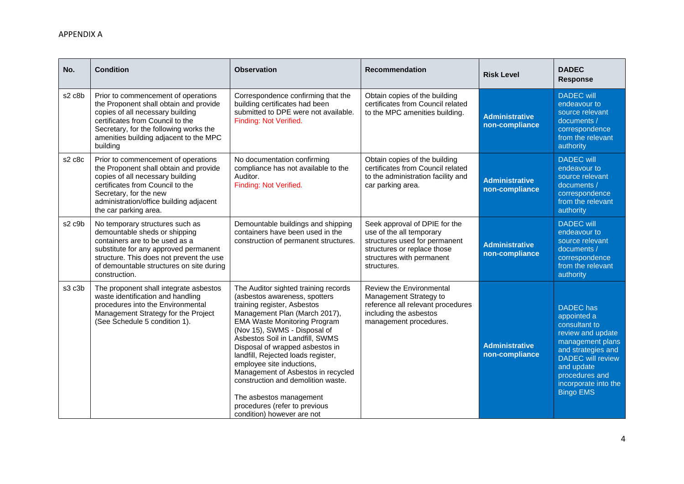| No.                             | <b>Condition</b>                                                                                                                                                                                                                                      | <b>Observation</b>                                                                                                                                                                                                                                                                                                                                                                                                                                                                                                          | <b>Recommendation</b>                                                                                                                                                 | <b>Risk Level</b>                       | <b>DADEC</b><br><b>Response</b>                                                                                                                                                                                         |
|---------------------------------|-------------------------------------------------------------------------------------------------------------------------------------------------------------------------------------------------------------------------------------------------------|-----------------------------------------------------------------------------------------------------------------------------------------------------------------------------------------------------------------------------------------------------------------------------------------------------------------------------------------------------------------------------------------------------------------------------------------------------------------------------------------------------------------------------|-----------------------------------------------------------------------------------------------------------------------------------------------------------------------|-----------------------------------------|-------------------------------------------------------------------------------------------------------------------------------------------------------------------------------------------------------------------------|
| s2 c8b                          | Prior to commencement of operations<br>the Proponent shall obtain and provide<br>copies of all necessary building<br>certificates from Council to the<br>Secretary, for the following works the<br>amenities building adjacent to the MPC<br>building | Correspondence confirming that the<br>building certificates had been<br>submitted to DPE were not available.<br>Finding: Not Verified.                                                                                                                                                                                                                                                                                                                                                                                      | Obtain copies of the building<br>certificates from Council related<br>to the MPC amenities building.                                                                  | <b>Administrative</b><br>non-compliance | <b>DADEC</b> will<br>endeavour to<br>source relevant<br>documents /<br>correspondence<br>from the relevant<br>authority                                                                                                 |
| s2 c8c                          | Prior to commencement of operations<br>the Proponent shall obtain and provide<br>copies of all necessary building<br>certificates from Council to the<br>Secretary, for the new<br>administration/office building adjacent<br>the car parking area.   | No documentation confirming<br>compliance has not available to the<br>Auditor.<br>Finding: Not Verified.                                                                                                                                                                                                                                                                                                                                                                                                                    | Obtain copies of the building<br>certificates from Council related<br>to the administration facility and<br>car parking area.                                         | <b>Administrative</b><br>non-compliance | <b>DADEC</b> will<br>endeavour to<br>source relevant<br>documents /<br>correspondence<br>from the relevant<br>authority                                                                                                 |
| s <sub>2</sub> c <sub>9</sub> b | No temporary structures such as<br>demountable sheds or shipping<br>containers are to be used as a<br>substitute for any approved permanent<br>structure. This does not prevent the use<br>of demountable structures on site during<br>construction.  | Demountable buildings and shipping<br>containers have been used in the<br>construction of permanent structures.                                                                                                                                                                                                                                                                                                                                                                                                             | Seek approval of DPIE for the<br>use of the all temporary<br>structures used for permanent<br>structures or replace those<br>structures with permanent<br>structures. | <b>Administrative</b><br>non-compliance | <b>DADEC</b> will<br>endeavour to<br>source relevant<br>documents /<br>correspondence<br>from the relevant<br>authority                                                                                                 |
| s3 c3b                          | The proponent shall integrate asbestos<br>waste identification and handling<br>procedures into the Environmental<br>Management Strategy for the Project<br>(See Schedule 5 condition 1).                                                              | The Auditor sighted training records<br>(asbestos awareness, spotters<br>training register, Asbestos<br>Management Plan (March 2017),<br><b>EMA Waste Monitoring Program</b><br>(Nov 15), SWMS - Disposal of<br>Asbestos Soil in Landfill, SWMS<br>Disposal of wrapped asbestos in<br>landfill, Rejected loads register,<br>employee site inductions,<br>Management of Asbestos in recycled<br>construction and demolition waste.<br>The asbestos management<br>procedures (refer to previous<br>condition) however are not | Review the Environmental<br>Management Strategy to<br>reference all relevant procedures<br>including the asbestos<br>management procedures.                           | <b>Administrative</b><br>non-compliance | <b>DADEC</b> has<br>appointed a<br>consultant to<br>review and update<br>management plans<br>and strategies and<br><b>DADEC</b> will review<br>and update<br>procedures and<br>incorporate into the<br><b>Bingo EMS</b> |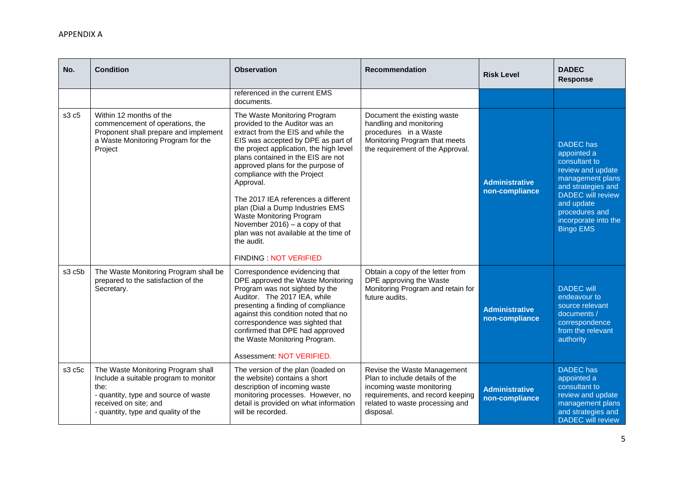| No.                             | <b>Condition</b>                                                                                                                                                                            | <b>Observation</b>                                                                                                                                                                                                                                                                                                                                                                                                                                                                                                                       | <b>Recommendation</b>                                                                                                                                                          | <b>Risk Level</b>                       | <b>DADEC</b><br><b>Response</b>                                                                                                                                                                                         |
|---------------------------------|---------------------------------------------------------------------------------------------------------------------------------------------------------------------------------------------|------------------------------------------------------------------------------------------------------------------------------------------------------------------------------------------------------------------------------------------------------------------------------------------------------------------------------------------------------------------------------------------------------------------------------------------------------------------------------------------------------------------------------------------|--------------------------------------------------------------------------------------------------------------------------------------------------------------------------------|-----------------------------------------|-------------------------------------------------------------------------------------------------------------------------------------------------------------------------------------------------------------------------|
|                                 |                                                                                                                                                                                             | referenced in the current EMS<br>documents.                                                                                                                                                                                                                                                                                                                                                                                                                                                                                              |                                                                                                                                                                                |                                         |                                                                                                                                                                                                                         |
| s3 c5                           | Within 12 months of the<br>commencement of operations, the<br>Proponent shall prepare and implement<br>a Waste Monitoring Program for the<br>Project                                        | The Waste Monitoring Program<br>provided to the Auditor was an<br>extract from the EIS and while the<br>EIS was accepted by DPE as part of<br>the project application, the high level<br>plans contained in the EIS are not<br>approved plans for the purpose of<br>compliance with the Project<br>Approval.<br>The 2017 IEA references a different<br>plan (Dial a Dump Industries EMS<br>Waste Monitoring Program<br>November $2016$ ) – a copy of that<br>plan was not available at the time of<br>the audit.<br>FINDING NOT VERIFIED | Document the existing waste<br>handling and monitoring<br>procedures in a Waste<br>Monitoring Program that meets<br>the requirement of the Approval.                           | <b>Administrative</b><br>non-compliance | <b>DADEC</b> has<br>appointed a<br>consultant to<br>review and update<br>management plans<br>and strategies and<br><b>DADEC</b> will review<br>and update<br>procedures and<br>incorporate into the<br><b>Bingo EMS</b> |
| s <sub>3</sub> c <sub>5</sub> b | The Waste Monitoring Program shall be<br>prepared to the satisfaction of the<br>Secretary.                                                                                                  | Correspondence evidencing that<br>DPE approved the Waste Monitoring<br>Program was not sighted by the<br>Auditor. The 2017 IEA, while<br>presenting a finding of compliance<br>against this condition noted that no<br>correspondence was sighted that<br>confirmed that DPE had approved<br>the Waste Monitoring Program.<br>Assessment: NOT VERIFIED.                                                                                                                                                                                  | Obtain a copy of the letter from<br>DPE approving the Waste<br>Monitoring Program and retain for<br>future audits.                                                             | <b>Administrative</b><br>non-compliance | <b>DADEC</b> will<br>endeavour to<br>source relevant<br>documents /<br>correspondence<br>from the relevant<br>authority                                                                                                 |
| s3 c5c                          | The Waste Monitoring Program shall<br>Include a suitable program to monitor<br>the:<br>- quantity, type and source of waste<br>received on site; and<br>- quantity, type and quality of the | The version of the plan (loaded on<br>the website) contains a short<br>description of incoming waste<br>monitoring processes. However, no<br>detail is provided on what information<br>will be recorded.                                                                                                                                                                                                                                                                                                                                 | Revise the Waste Management<br>Plan to include details of the<br>incoming waste monitoring<br>requirements, and record keeping<br>related to waste processing and<br>disposal. | <b>Administrative</b><br>non-compliance | <b>DADEC</b> has<br>appointed a<br>consultant to<br>review and update<br>management plans<br>and strategies and<br><b>DADEC</b> will review                                                                             |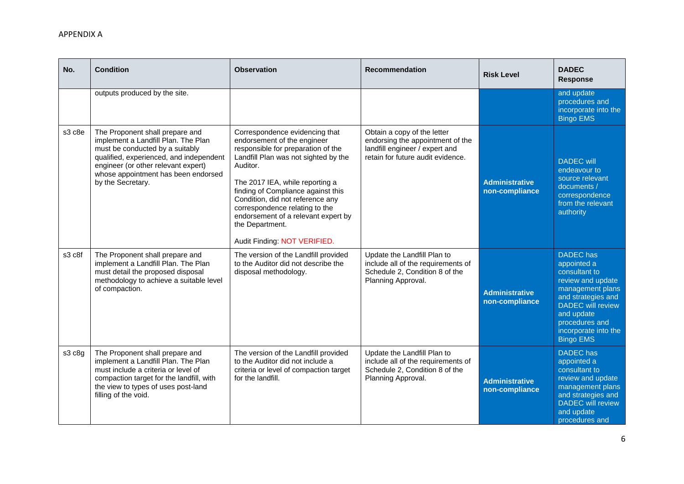| No.    | <b>Condition</b>                                                                                                                                                                                                                                        | <b>Observation</b>                                                                                                                                                                                                                                                                                                                                                                               | <b>Recommendation</b>                                                                                                                  | <b>Risk Level</b>                       | <b>DADEC</b><br><b>Response</b>                                                                                                                                                                                         |
|--------|---------------------------------------------------------------------------------------------------------------------------------------------------------------------------------------------------------------------------------------------------------|--------------------------------------------------------------------------------------------------------------------------------------------------------------------------------------------------------------------------------------------------------------------------------------------------------------------------------------------------------------------------------------------------|----------------------------------------------------------------------------------------------------------------------------------------|-----------------------------------------|-------------------------------------------------------------------------------------------------------------------------------------------------------------------------------------------------------------------------|
|        | outputs produced by the site.                                                                                                                                                                                                                           |                                                                                                                                                                                                                                                                                                                                                                                                  |                                                                                                                                        |                                         | and update<br>procedures and<br>incorporate into the<br><b>Bingo EMS</b>                                                                                                                                                |
| s3 c8e | The Proponent shall prepare and<br>implement a Landfill Plan. The Plan<br>must be conducted by a suitably<br>qualified, experienced, and independent<br>engineer (or other relevant expert)<br>whose appointment has been endorsed<br>by the Secretary. | Correspondence evidencing that<br>endorsement of the engineer<br>responsible for preparation of the<br>Landfill Plan was not sighted by the<br>Auditor.<br>The 2017 IEA, while reporting a<br>finding of Compliance against this<br>Condition, did not reference any<br>correspondence relating to the<br>endorsement of a relevant expert by<br>the Department.<br>Audit Finding: NOT VERIFIED. | Obtain a copy of the letter<br>endorsing the appointment of the<br>landfill engineer / expert and<br>retain for future audit evidence. | <b>Administrative</b><br>non-compliance | <b>DADEC</b> will<br>endeavour to<br>source relevant<br>documents /<br>correspondence<br>from the relevant<br>authority                                                                                                 |
| s3 c8f | The Proponent shall prepare and<br>implement a Landfill Plan. The Plan<br>must detail the proposed disposal<br>methodology to achieve a suitable level<br>of compaction.                                                                                | The version of the Landfill provided<br>to the Auditor did not describe the<br>disposal methodology.                                                                                                                                                                                                                                                                                             | Update the Landfill Plan to<br>include all of the requirements of<br>Schedule 2, Condition 8 of the<br>Planning Approval.              | <b>Administrative</b><br>non-compliance | <b>DADEC</b> has<br>appointed a<br>consultant to<br>review and update<br>management plans<br>and strategies and<br><b>DADEC</b> will review<br>and update<br>procedures and<br>incorporate into the<br><b>Bingo EMS</b> |
| s3 c8g | The Proponent shall prepare and<br>implement a Landfill Plan. The Plan<br>must include a criteria or level of<br>compaction target for the landfill, with<br>the view to types of uses post-land<br>filling of the void.                                | The version of the Landfill provided<br>to the Auditor did not include a<br>criteria or level of compaction target<br>for the landfill.                                                                                                                                                                                                                                                          | Update the Landfill Plan to<br>include all of the requirements of<br>Schedule 2, Condition 8 of the<br>Planning Approval.              | <b>Administrative</b><br>non-compliance | <b>DADEC</b> has<br>appointed a<br>consultant to<br>review and update<br>management plans<br>and strategies and<br><b>DADEC</b> will review<br>and update<br>procedures and                                             |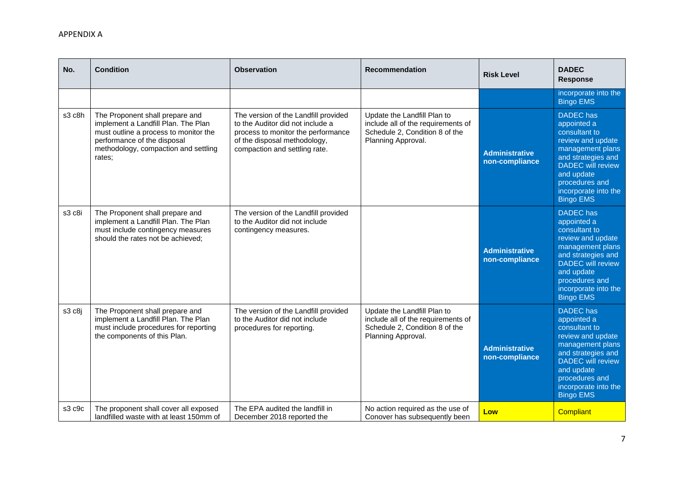| No.    | <b>Condition</b>                                                                                                                                                                                 | <b>Observation</b>                                                                                                                                                              | <b>Recommendation</b>                                                                                                     | <b>Risk Level</b>                       | <b>DADEC</b><br><b>Response</b>                                                                                                                                                                                         |
|--------|--------------------------------------------------------------------------------------------------------------------------------------------------------------------------------------------------|---------------------------------------------------------------------------------------------------------------------------------------------------------------------------------|---------------------------------------------------------------------------------------------------------------------------|-----------------------------------------|-------------------------------------------------------------------------------------------------------------------------------------------------------------------------------------------------------------------------|
|        |                                                                                                                                                                                                  |                                                                                                                                                                                 |                                                                                                                           |                                         | incorporate into the<br><b>Bingo EMS</b>                                                                                                                                                                                |
| s3 c8h | The Proponent shall prepare and<br>implement a Landfill Plan. The Plan<br>must outline a process to monitor the<br>performance of the disposal<br>methodology, compaction and settling<br>rates: | The version of the Landfill provided<br>to the Auditor did not include a<br>process to monitor the performance<br>of the disposal methodology,<br>compaction and settling rate. | Update the Landfill Plan to<br>include all of the requirements of<br>Schedule 2, Condition 8 of the<br>Planning Approval. | <b>Administrative</b><br>non-compliance | <b>DADEC</b> has<br>appointed a<br>consultant to<br>review and update<br>management plans<br>and strategies and<br><b>DADEC</b> will review<br>and update<br>procedures and<br>incorporate into the<br><b>Bingo EMS</b> |
| s3 c8i | The Proponent shall prepare and<br>implement a Landfill Plan. The Plan<br>must include contingency measures<br>should the rates not be achieved:                                                 | The version of the Landfill provided<br>to the Auditor did not include<br>contingency measures.                                                                                 |                                                                                                                           | <b>Administrative</b><br>non-compliance | <b>DADEC</b> has<br>appointed a<br>consultant to<br>review and update<br>management plans<br>and strategies and<br><b>DADEC</b> will review<br>and update<br>procedures and<br>incorporate into the<br><b>Bingo EMS</b> |
| s3 c8j | The Proponent shall prepare and<br>implement a Landfill Plan. The Plan<br>must include procedures for reporting<br>the components of this Plan.                                                  | The version of the Landfill provided<br>to the Auditor did not include<br>procedures for reporting.                                                                             | Update the Landfill Plan to<br>include all of the requirements of<br>Schedule 2, Condition 8 of the<br>Planning Approval. | <b>Administrative</b><br>non-compliance | <b>DADEC</b> has<br>appointed a<br>consultant to<br>review and update<br>management plans<br>and strategies and<br><b>DADEC</b> will review<br>and update<br>procedures and<br>incorporate into the<br><b>Bingo EMS</b> |
| s3 c9c | The proponent shall cover all exposed<br>landfilled waste with at least 150mm of                                                                                                                 | The EPA audited the landfill in<br>December 2018 reported the                                                                                                                   | No action required as the use of<br>Conover has subsequently been                                                         | Low                                     | <b>Compliant</b>                                                                                                                                                                                                        |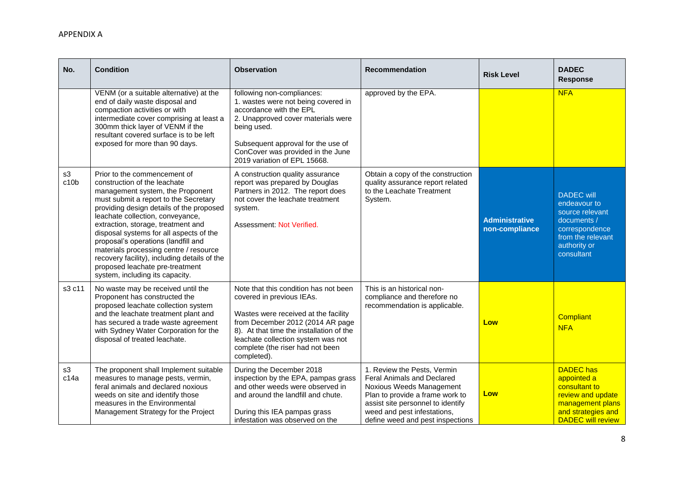| No.        | <b>Condition</b>                                                                                                                                                                                                                                                                                                                                                                                                                                                                                                  | <b>Observation</b>                                                                                                                                                                                                                                                                  | <b>Recommendation</b>                                                                                                                                                                                                                   | <b>Risk Level</b>                       | <b>DADEC</b><br><b>Response</b>                                                                                                             |
|------------|-------------------------------------------------------------------------------------------------------------------------------------------------------------------------------------------------------------------------------------------------------------------------------------------------------------------------------------------------------------------------------------------------------------------------------------------------------------------------------------------------------------------|-------------------------------------------------------------------------------------------------------------------------------------------------------------------------------------------------------------------------------------------------------------------------------------|-----------------------------------------------------------------------------------------------------------------------------------------------------------------------------------------------------------------------------------------|-----------------------------------------|---------------------------------------------------------------------------------------------------------------------------------------------|
|            | VENM (or a suitable alternative) at the<br>end of daily waste disposal and<br>compaction activities or with<br>intermediate cover comprising at least a<br>300mm thick layer of VENM if the<br>resultant covered surface is to be left<br>exposed for more than 90 days.                                                                                                                                                                                                                                          | following non-compliances:<br>1. wastes were not being covered in<br>accordance with the EPL<br>2. Unapproved cover materials were<br>being used.<br>Subsequent approval for the use of<br>ConCover was provided in the June<br>2019 variation of EPL 15668.                        | approved by the EPA.                                                                                                                                                                                                                    |                                         | <b>NFA</b>                                                                                                                                  |
| s3<br>c10b | Prior to the commencement of<br>construction of the leachate<br>management system, the Proponent<br>must submit a report to the Secretary<br>providing design details of the proposed<br>leachate collection, conveyance,<br>extraction, storage, treatment and<br>disposal systems for all aspects of the<br>proposal's operations (landfill and<br>materials processing centre / resource<br>recovery facility), including details of the<br>proposed leachate pre-treatment<br>system, including its capacity. | A construction quality assurance<br>report was prepared by Douglas<br>Partners in 2012. The report does<br>not cover the leachate treatment<br>system.<br>Assessment: Not Verified.                                                                                                 | Obtain a copy of the construction<br>quality assurance report related<br>to the Leachate Treatment<br>System.                                                                                                                           | <b>Administrative</b><br>non-compliance | <b>DADEC</b> will<br>endeavour to<br>source relevant<br>documents /<br>correspondence<br>from the relevant<br>authority or<br>consultant    |
| s3 c11     | No waste may be received until the<br>Proponent has constructed the<br>proposed leachate collection system<br>and the leachate treatment plant and<br>has secured a trade waste agreement<br>with Sydney Water Corporation for the<br>disposal of treated leachate.                                                                                                                                                                                                                                               | Note that this condition has not been<br>covered in previous IEAs.<br>Wastes were received at the facility<br>from December 2012 (2014 AR page<br>8). At that time the installation of the<br>leachate collection system was not<br>complete (the riser had not been<br>completed). | This is an historical non-<br>compliance and therefore no<br>recommendation is applicable.                                                                                                                                              | Low                                     | <b>Compliant</b><br><b>NFA</b>                                                                                                              |
| s3<br>c14a | The proponent shall Implement suitable<br>measures to manage pests, vermin,<br>feral animals and declared noxious<br>weeds on site and identify those<br>measures in the Environmental<br>Management Strategy for the Project                                                                                                                                                                                                                                                                                     | During the December 2018<br>inspection by the EPA, pampas grass<br>and other weeds were observed in<br>and around the landfill and chute.<br>During this IEA pampas grass<br>infestation was observed on the                                                                        | 1. Review the Pests, Vermin<br><b>Feral Animals and Declared</b><br>Noxious Weeds Management<br>Plan to provide a frame work to<br>assist site personnel to identify<br>weed and pest infestations,<br>define weed and pest inspections | Low                                     | <b>DADEC</b> has<br>appointed a<br>consultant to<br>review and update<br>management plans<br>and strategies and<br><b>DADEC will review</b> |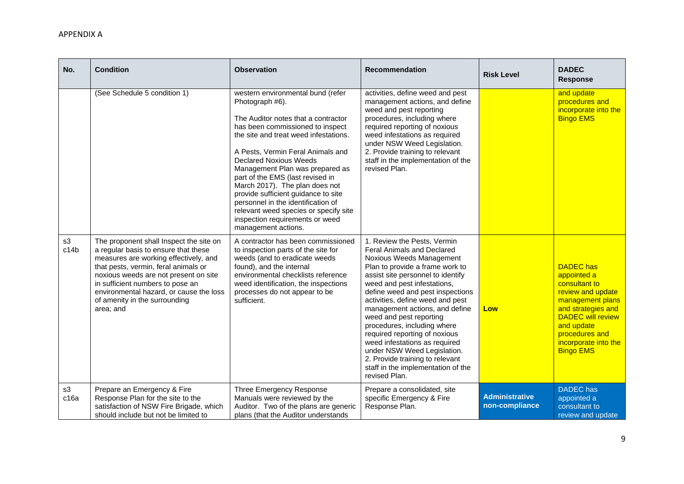| No.        | <b>Condition</b>                                                                                                                                                                                                                                                                                                                       | <b>Observation</b>                                                                                                                                                                                                                                                                                                                                                                                                                                                                                                                      | <b>Recommendation</b>                                                                                                                                                                                                                                                                                                                                                                                                                                                                                                                                       | <b>Risk Level</b>                       | <b>DADEC</b><br><b>Response</b>                                                                                                                                                                                         |
|------------|----------------------------------------------------------------------------------------------------------------------------------------------------------------------------------------------------------------------------------------------------------------------------------------------------------------------------------------|-----------------------------------------------------------------------------------------------------------------------------------------------------------------------------------------------------------------------------------------------------------------------------------------------------------------------------------------------------------------------------------------------------------------------------------------------------------------------------------------------------------------------------------------|-------------------------------------------------------------------------------------------------------------------------------------------------------------------------------------------------------------------------------------------------------------------------------------------------------------------------------------------------------------------------------------------------------------------------------------------------------------------------------------------------------------------------------------------------------------|-----------------------------------------|-------------------------------------------------------------------------------------------------------------------------------------------------------------------------------------------------------------------------|
|            | (See Schedule 5 condition 1)                                                                                                                                                                                                                                                                                                           | western environmental bund (refer<br>Photograph #6).<br>The Auditor notes that a contractor<br>has been commissioned to inspect<br>the site and treat weed infestations.<br>A Pests, Vermin Feral Animals and<br><b>Declared Noxious Weeds</b><br>Management Plan was prepared as<br>part of the EMS (last revised in<br>March 2017). The plan does not<br>provide sufficient guidance to site<br>personnel in the identification of<br>relevant weed species or specify site<br>inspection requirements or weed<br>management actions. | activities, define weed and pest<br>management actions, and define<br>weed and pest reporting<br>procedures, including where<br>required reporting of noxious<br>weed infestations as required<br>under NSW Weed Legislation.<br>2. Provide training to relevant<br>staff in the implementation of the<br>revised Plan.                                                                                                                                                                                                                                     |                                         | and update<br>procedures and<br>incorporate into the<br><b>Bingo EMS</b>                                                                                                                                                |
| s3<br>c14b | The proponent shall Inspect the site on<br>a regular basis to ensure that these<br>measures are working effectively, and<br>that pests, vermin, feral animals or<br>noxious weeds are not present on site<br>in sufficient numbers to pose an<br>environmental hazard, or cause the loss<br>of amenity in the surrounding<br>area; and | A contractor has been commissioned<br>to inspection parts of the site for<br>weeds (and to eradicate weeds<br>found), and the internal<br>environmental checklists reference<br>weed identification, the inspections<br>processes do not appear to be<br>sufficient.                                                                                                                                                                                                                                                                    | 1. Review the Pests, Vermin<br>Feral Animals and Declared<br>Noxious Weeds Management<br>Plan to provide a frame work to<br>assist site personnel to identify<br>weed and pest infestations,<br>define weed and pest inspections<br>activities, define weed and pest<br>management actions, and define<br>weed and pest reporting<br>procedures, including where<br>required reporting of noxious<br>weed infestations as required<br>under NSW Weed Legislation.<br>2. Provide training to relevant<br>staff in the implementation of the<br>revised Plan. | Low                                     | <b>DADEC</b> has<br>appointed a<br>consultant to<br>review and update<br>management plans<br>and strategies and<br><b>DADEC</b> will review<br>and update<br>procedures and<br>incorporate into the<br><b>Bingo EMS</b> |
| s3<br>c16a | Prepare an Emergency & Fire<br>Response Plan for the site to the<br>satisfaction of NSW Fire Brigade, which<br>should include but not be limited to                                                                                                                                                                                    | Three Emergency Response<br>Manuals were reviewed by the<br>Auditor. Two of the plans are generic<br>plans (that the Auditor understands                                                                                                                                                                                                                                                                                                                                                                                                | Prepare a consolidated, site<br>specific Emergency & Fire<br>Response Plan.                                                                                                                                                                                                                                                                                                                                                                                                                                                                                 | <b>Administrative</b><br>non-compliance | <b>DADEC</b> has<br>appointed a<br>consultant to<br>review and update                                                                                                                                                   |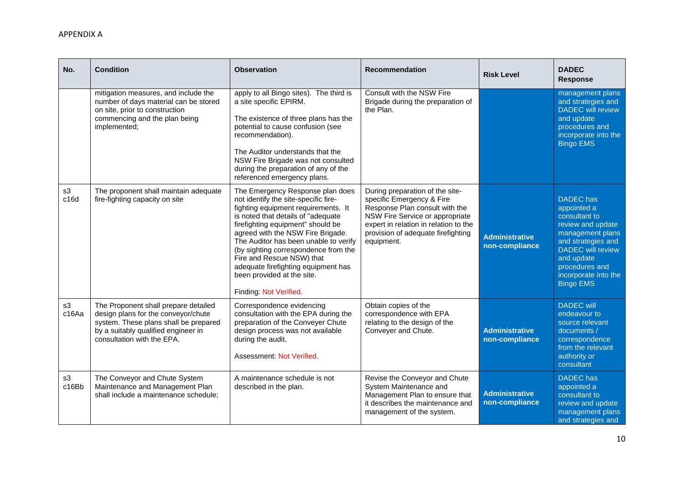| No.         | <b>Condition</b>                                                                                                                                                                          | <b>Observation</b>                                                                                                                                                                                                                                                                                                                                                                                                                           | <b>Recommendation</b>                                                                                                                                                                                                          | <b>Risk Level</b>                       | <b>DADEC</b><br><b>Response</b>                                                                                                                                                                                         |
|-------------|-------------------------------------------------------------------------------------------------------------------------------------------------------------------------------------------|----------------------------------------------------------------------------------------------------------------------------------------------------------------------------------------------------------------------------------------------------------------------------------------------------------------------------------------------------------------------------------------------------------------------------------------------|--------------------------------------------------------------------------------------------------------------------------------------------------------------------------------------------------------------------------------|-----------------------------------------|-------------------------------------------------------------------------------------------------------------------------------------------------------------------------------------------------------------------------|
|             | mitigation measures, and include the<br>number of days material can be stored<br>on site, prior to construction<br>commencing and the plan being<br>implemented;                          | apply to all Bingo sites). The third is<br>a site specific EPIRM.<br>The existence of three plans has the<br>potential to cause confusion (see<br>recommendation).<br>The Auditor understands that the<br>NSW Fire Brigade was not consulted<br>during the preparation of any of the<br>referenced emergency plans.                                                                                                                          | Consult with the NSW Fire<br>Brigade during the preparation of<br>the Plan.                                                                                                                                                    |                                         | management plans<br>and strategies and<br><b>DADEC</b> will review<br>and update<br>procedures and<br>incorporate into the<br><b>Bingo EMS</b>                                                                          |
| s3<br>c16d  | The proponent shall maintain adequate<br>fire-fighting capacity on site                                                                                                                   | The Emergency Response plan does<br>not identify the site-specific fire-<br>fighting equipment requirements. It<br>is noted that details of "adequate<br>firefighting equipment" should be<br>agreed with the NSW Fire Brigade.<br>The Auditor has been unable to verify<br>(by sighting correspondence from the<br>Fire and Rescue NSW) that<br>adequate firefighting equipment has<br>been provided at the site.<br>Finding: Not Verified. | During preparation of the site-<br>specific Emergency & Fire<br>Response Plan consult with the<br>NSW Fire Service or appropriate<br>expert in relation in relation to the<br>provision of adequate firefighting<br>equipment. | <b>Administrative</b><br>non-compliance | <b>DADEC</b> has<br>appointed a<br>consultant to<br>review and update<br>management plans<br>and strategies and<br><b>DADEC</b> will review<br>and update<br>procedures and<br>incorporate into the<br><b>Bingo EMS</b> |
| s3<br>c16Aa | The Proponent shall prepare detailed<br>design plans for the conveyor/chute<br>system. These plans shall be prepared<br>by a suitably qualified engineer in<br>consultation with the EPA. | Correspondence evidencing<br>consultation with the EPA during the<br>preparation of the Conveyer Chute<br>design process was not available<br>during the audit.<br>Assessment: Not Verified.                                                                                                                                                                                                                                                 | Obtain copies of the<br>correspondence with EPA<br>relating to the design of the<br>Conveyer and Chute.                                                                                                                        | <b>Administrative</b><br>non-compliance | <b>DADEC</b> will<br>endeavour to<br>source relevant<br>documents /<br>correspondence<br>from the relevant<br>authority or<br>consultant                                                                                |
| s3<br>c16Bb | The Conveyor and Chute System<br>Maintenance and Management Plan<br>shall include a maintenance schedule;                                                                                 | A maintenance schedule is not<br>described in the plan.                                                                                                                                                                                                                                                                                                                                                                                      | Revise the Conveyor and Chute<br>System Maintenance and<br>Management Plan to ensure that<br>it describes the maintenance and<br>management of the system.                                                                     | <b>Administrative</b><br>non-compliance | <b>DADEC</b> has<br>appointed a<br>consultant to<br>review and update<br>management plans<br>and strategies and                                                                                                         |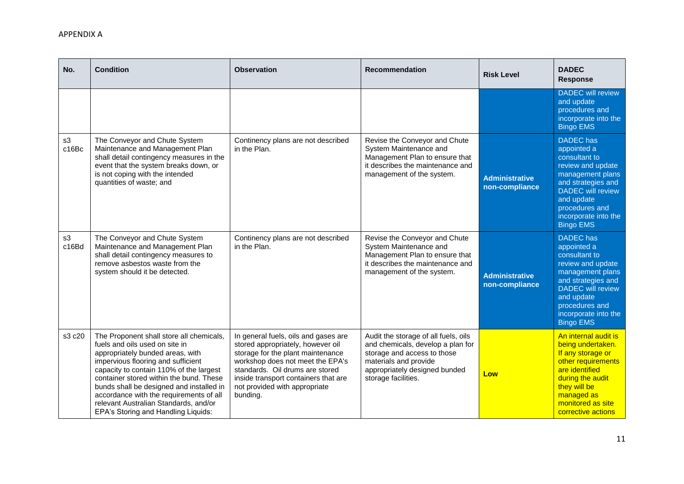| No.         | <b>Condition</b>                                                                                                                                                                                                                                                                                                                                                                                                  | <b>Observation</b>                                                                                                                                                                                                                                                         | <b>Recommendation</b>                                                                                                                                                                     | <b>Risk Level</b>                       | <b>DADEC</b><br><b>Response</b>                                                                                                                                                                                         |
|-------------|-------------------------------------------------------------------------------------------------------------------------------------------------------------------------------------------------------------------------------------------------------------------------------------------------------------------------------------------------------------------------------------------------------------------|----------------------------------------------------------------------------------------------------------------------------------------------------------------------------------------------------------------------------------------------------------------------------|-------------------------------------------------------------------------------------------------------------------------------------------------------------------------------------------|-----------------------------------------|-------------------------------------------------------------------------------------------------------------------------------------------------------------------------------------------------------------------------|
|             |                                                                                                                                                                                                                                                                                                                                                                                                                   |                                                                                                                                                                                                                                                                            |                                                                                                                                                                                           |                                         | <b>DADEC</b> will review<br>and update<br>procedures and<br>incorporate into the<br><b>Bingo EMS</b>                                                                                                                    |
| s3<br>c16Bc | The Conveyor and Chute System<br>Maintenance and Management Plan<br>shall detail contingency measures in the<br>event that the system breaks down, or<br>is not coping with the intended<br>quantities of waste; and                                                                                                                                                                                              | Continency plans are not described<br>in the Plan.                                                                                                                                                                                                                         | Revise the Conveyor and Chute<br>System Maintenance and<br>Management Plan to ensure that<br>it describes the maintenance and<br>management of the system.                                | <b>Administrative</b><br>non-compliance | <b>DADEC</b> has<br>appointed a<br>consultant to<br>review and update<br>management plans<br>and strategies and<br><b>DADEC</b> will review<br>and update<br>procedures and<br>incorporate into the<br><b>Bingo EMS</b> |
| s3<br>c16Bd | The Conveyor and Chute System<br>Maintenance and Management Plan<br>shall detail contingency measures to<br>remove asbestos waste from the<br>system should it be detected.                                                                                                                                                                                                                                       | Continency plans are not described<br>in the Plan.                                                                                                                                                                                                                         | Revise the Conveyor and Chute<br>System Maintenance and<br>Management Plan to ensure that<br>it describes the maintenance and<br>management of the system.                                | <b>Administrative</b><br>non-compliance | <b>DADEC</b> has<br>appointed a<br>consultant to<br>review and update<br>management plans<br>and strategies and<br><b>DADEC</b> will review<br>and update<br>procedures and<br>incorporate into the<br><b>Bingo EMS</b> |
| s3 c20      | The Proponent shall store all chemicals,<br>fuels and oils used on site in<br>appropriately bunded areas, with<br>impervious flooring and sufficient<br>capacity to contain 110% of the largest<br>container stored within the bund. These<br>bunds shall be designed and installed in<br>accordance with the requirements of all<br>relevant Australian Standards, and/or<br>EPA's Storing and Handling Liquids: | In general fuels, oils and gases are<br>stored appropriately, however oil<br>storage for the plant maintenance<br>workshop does not meet the EPA's<br>standards. Oil drums are stored<br>inside transport containers that are<br>not provided with appropriate<br>bunding. | Audit the storage of all fuels, oils<br>and chemicals, develop a plan for<br>storage and access to those<br>materials and provide<br>appropriately designed bunded<br>storage facilities. | Low                                     | An internal audit is<br>being undertaken.<br>If any storage or<br>other requirements<br>are identified<br>during the audit<br>they will be<br>managed as<br>monitored as site<br>corrective actions                     |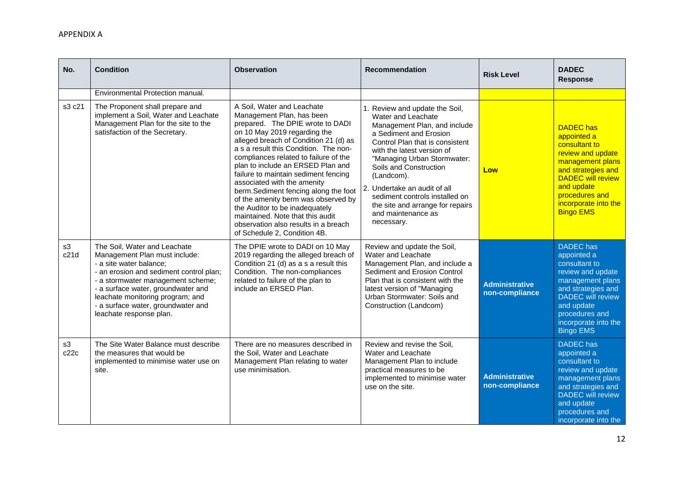| No.        | <b>Condition</b>                                                                                                                                                                                                                                                                                                    | <b>Observation</b>                                                                                                                                                                                                                                                                                                                                                                                                                                                                                                                                                                              | <b>Recommendation</b>                                                                                                                                                                                                                                                                                                                                                                            | <b>Risk Level</b>                       | <b>DADEC</b><br><b>Response</b>                                                                                                                                                                                         |
|------------|---------------------------------------------------------------------------------------------------------------------------------------------------------------------------------------------------------------------------------------------------------------------------------------------------------------------|-------------------------------------------------------------------------------------------------------------------------------------------------------------------------------------------------------------------------------------------------------------------------------------------------------------------------------------------------------------------------------------------------------------------------------------------------------------------------------------------------------------------------------------------------------------------------------------------------|--------------------------------------------------------------------------------------------------------------------------------------------------------------------------------------------------------------------------------------------------------------------------------------------------------------------------------------------------------------------------------------------------|-----------------------------------------|-------------------------------------------------------------------------------------------------------------------------------------------------------------------------------------------------------------------------|
|            | Environmental Protection manual.                                                                                                                                                                                                                                                                                    |                                                                                                                                                                                                                                                                                                                                                                                                                                                                                                                                                                                                 |                                                                                                                                                                                                                                                                                                                                                                                                  |                                         |                                                                                                                                                                                                                         |
| s3 c21     | The Proponent shall prepare and<br>implement a Soil, Water and Leachate<br>Management Plan for the site to the<br>satisfaction of the Secretary.                                                                                                                                                                    | A Soil, Water and Leachate<br>Management Plan, has been<br>prepared. The DPIE wrote to DADI<br>on 10 May 2019 regarding the<br>alleged breach of Condition 21 (d) as<br>a s a result this Condition. The non-<br>compliances related to failure of the<br>plan to include an ERSED Plan and<br>failure to maintain sediment fencing<br>associated with the amenity<br>berm.Sediment fencing along the foot<br>of the amenity berm was observed by<br>the Auditor to be inadequately<br>maintained. Note that this audit<br>observation also results in a breach<br>of Schedule 2, Condition 4B. | 1. Review and update the Soil,<br>Water and Leachate<br>Management Plan, and include<br>a Sediment and Erosion<br>Control Plan that is consistent<br>with the latest version of<br>"Managing Urban Stormwater:<br>Soils and Construction<br>(Landcom).<br>2. Undertake an audit of all<br>sediment controls installed on<br>the site and arrange for repairs<br>and maintenance as<br>necessary. | Low                                     | <b>DADEC</b> has<br>appointed a<br>consultant to<br>review and update<br>management plans<br>and strategies and<br><b>DADEC will review</b><br>and update<br>procedures and<br>incorporate into the<br><b>Bingo EMS</b> |
| s3<br>c21d | The Soil, Water and Leachate<br>Management Plan must include:<br>- a site water balance;<br>- an erosion and sediment control plan;<br>- a stormwater management scheme;<br>- a surface water, groundwater and<br>leachate monitoring program; and<br>- a surface water, groundwater and<br>leachate response plan. | The DPIE wrote to DADI on 10 May<br>2019 regarding the alleged breach of<br>Condition 21 (d) as a s a result this<br>Condition. The non-compliances<br>related to failure of the plan to<br>include an ERSED Plan.                                                                                                                                                                                                                                                                                                                                                                              | Review and update the Soil,<br>Water and Leachate<br>Management Plan, and include a<br>Sediment and Erosion Control<br>Plan that is consistent with the<br>latest version of "Managing<br>Urban Stormwater: Soils and<br>Construction (Landcom)                                                                                                                                                  | <b>Administrative</b><br>non-compliance | <b>DADEC</b> has<br>appointed a<br>consultant to<br>review and update<br>management plans<br>and strategies and<br><b>DADEC</b> will review<br>and update<br>procedures and<br>incorporate into the<br><b>Bingo EMS</b> |
| s3<br>c22c | The Site Water Balance must describe<br>the measures that would be<br>implemented to minimise water use on<br>site.                                                                                                                                                                                                 | There are no measures described in<br>the Soil, Water and Leachate<br>Management Plan relating to water<br>use minimisation.                                                                                                                                                                                                                                                                                                                                                                                                                                                                    | Review and revise the Soil,<br>Water and Leachate<br>Management Plan to include<br>practical measures to be<br>implemented to minimise water<br>use on the site.                                                                                                                                                                                                                                 | <b>Administrative</b><br>non-compliance | <b>DADEC</b> has<br>appointed a<br>consultant to<br>review and update<br>management plans<br>and strategies and<br><b>DADEC</b> will review<br>and update<br>procedures and<br>incorporate into the                     |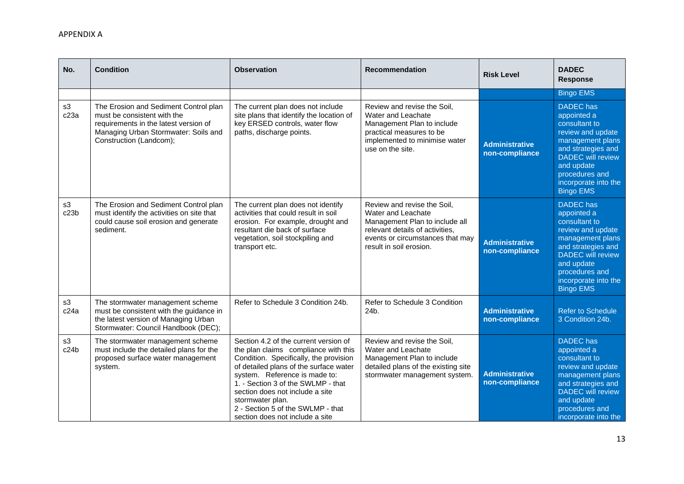| No.        | <b>Condition</b>                                                                                                                                                                 | <b>Observation</b>                                                                                                                                                                                                                                                                                                                                                      | <b>Recommendation</b>                                                                                                                                                                 | <b>Risk Level</b>                       | <b>DADEC</b><br><b>Response</b>                                                                                                                                                                                         |
|------------|----------------------------------------------------------------------------------------------------------------------------------------------------------------------------------|-------------------------------------------------------------------------------------------------------------------------------------------------------------------------------------------------------------------------------------------------------------------------------------------------------------------------------------------------------------------------|---------------------------------------------------------------------------------------------------------------------------------------------------------------------------------------|-----------------------------------------|-------------------------------------------------------------------------------------------------------------------------------------------------------------------------------------------------------------------------|
|            |                                                                                                                                                                                  |                                                                                                                                                                                                                                                                                                                                                                         |                                                                                                                                                                                       |                                         | <b>Bingo EMS</b>                                                                                                                                                                                                        |
| s3<br>c23a | The Erosion and Sediment Control plan<br>must be consistent with the<br>requirements in the latest version of<br>Managing Urban Stormwater: Soils and<br>Construction (Landcom); | The current plan does not include<br>site plans that identify the location of<br>key ERSED controls, water flow<br>paths, discharge points.                                                                                                                                                                                                                             | Review and revise the Soil,<br>Water and Leachate<br>Management Plan to include<br>practical measures to be<br>implemented to minimise water<br>use on the site.                      | <b>Administrative</b><br>non-compliance | <b>DADEC</b> has<br>appointed a<br>consultant to<br>review and update<br>management plans<br>and strategies and<br><b>DADEC</b> will review<br>and update<br>procedures and<br>incorporate into the<br><b>Bingo EMS</b> |
| s3<br>c23b | The Erosion and Sediment Control plan<br>must identify the activities on site that<br>could cause soil erosion and generate<br>sediment.                                         | The current plan does not identify<br>activities that could result in soil<br>erosion. For example, drought and<br>resultant die back of surface<br>vegetation, soil stockpiling and<br>transport etc.                                                                                                                                                                  | Review and revise the Soil,<br>Water and Leachate<br>Management Plan to include all<br>relevant details of activities,<br>events or circumstances that may<br>result in soil erosion. | <b>Administrative</b><br>non-compliance | <b>DADEC</b> has<br>appointed a<br>consultant to<br>review and update<br>management plans<br>and strategies and<br><b>DADEC</b> will review<br>and update<br>procedures and<br>incorporate into the<br><b>Bingo EMS</b> |
| s3<br>c24a | The stormwater management scheme<br>must be consistent with the guidance in<br>the latest version of Managing Urban<br>Stormwater: Council Handbook (DEC);                       | Refer to Schedule 3 Condition 24b.                                                                                                                                                                                                                                                                                                                                      | Refer to Schedule 3 Condition<br>24b.                                                                                                                                                 | <b>Administrative</b><br>non-compliance | <b>Refer to Schedule</b><br>3 Condition 24b.                                                                                                                                                                            |
| s3<br>c24b | The stormwater management scheme<br>must include the detailed plans for the<br>proposed surface water management<br>system.                                                      | Section 4.2 of the current version of<br>the plan claims compliance with this<br>Condition. Specifically, the provision<br>of detailed plans of the surface water<br>system. Reference is made to:<br>1. - Section 3 of the SWLMP - that<br>section does not include a site<br>stormwater plan.<br>2 - Section 5 of the SWLMP - that<br>section does not include a site | Review and revise the Soil,<br>Water and Leachate<br>Management Plan to include<br>detailed plans of the existing site<br>stormwater management system.                               | <b>Administrative</b><br>non-compliance | <b>DADEC</b> has<br>appointed a<br>consultant to<br>review and update<br>management plans<br>and strategies and<br><b>DADEC</b> will review<br>and update<br>procedures and<br>incorporate into the                     |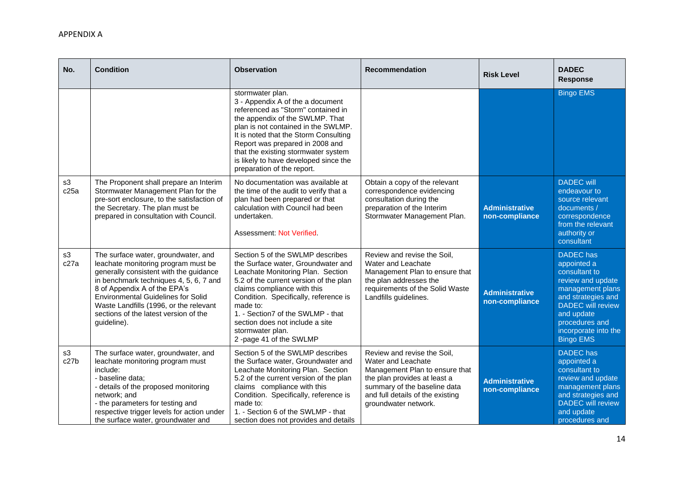| No.                     | <b>Condition</b>                                                                                                                                                                                                                                                                                                                              | <b>Observation</b>                                                                                                                                                                                                                                                                                                                                              | <b>Recommendation</b>                                                                                                                                                                                           | <b>Risk Level</b>                       | <b>DADEC</b><br><b>Response</b>                                                                                                                                                                                         |
|-------------------------|-----------------------------------------------------------------------------------------------------------------------------------------------------------------------------------------------------------------------------------------------------------------------------------------------------------------------------------------------|-----------------------------------------------------------------------------------------------------------------------------------------------------------------------------------------------------------------------------------------------------------------------------------------------------------------------------------------------------------------|-----------------------------------------------------------------------------------------------------------------------------------------------------------------------------------------------------------------|-----------------------------------------|-------------------------------------------------------------------------------------------------------------------------------------------------------------------------------------------------------------------------|
|                         |                                                                                                                                                                                                                                                                                                                                               | stormwater plan.<br>3 - Appendix A of the a document<br>referenced as "Storm" contained in<br>the appendix of the SWLMP. That<br>plan is not contained in the SWLMP.<br>It is noted that the Storm Consulting<br>Report was prepared in 2008 and<br>that the existing stormwater system<br>is likely to have developed since the<br>preparation of the report.  |                                                                                                                                                                                                                 |                                         | <b>Bingo EMS</b>                                                                                                                                                                                                        |
| s3<br>c25a              | The Proponent shall prepare an Interim<br>Stormwater Management Plan for the<br>pre-sort enclosure, to the satisfaction of<br>the Secretary. The plan must be<br>prepared in consultation with Council.                                                                                                                                       | No documentation was available at<br>the time of the audit to verify that a<br>plan had been prepared or that<br>calculation with Council had been<br>undertaken.<br>Assessment: Not Verified.                                                                                                                                                                  | Obtain a copy of the relevant<br>correspondence evidencing<br>consultation during the<br>preparation of the Interim<br>Stormwater Management Plan.                                                              | <b>Administrative</b><br>non-compliance | <b>DADEC</b> will<br>endeavour to<br>source relevant<br>documents /<br>correspondence<br>from the relevant<br>authority or<br>consultant                                                                                |
| s3<br>c27a              | The surface water, groundwater, and<br>leachate monitoring program must be<br>generally consistent with the guidance<br>in benchmark techniques 4, 5, 6, 7 and<br>8 of Appendix A of the EPA's<br><b>Environmental Guidelines for Solid</b><br>Waste Landfills (1996, or the relevant<br>sections of the latest version of the<br>guideline). | Section 5 of the SWLMP describes<br>the Surface water, Groundwater and<br>Leachate Monitoring Plan. Section<br>5.2 of the current version of the plan<br>claims compliance with this<br>Condition. Specifically, reference is<br>made to:<br>1. - Section7 of the SWLMP - that<br>section does not include a site<br>stormwater plan.<br>2-page 41 of the SWLMP | Review and revise the Soil,<br>Water and Leachate<br>Management Plan to ensure that<br>the plan addresses the<br>requirements of the Solid Waste<br>Landfills guidelines.                                       | <b>Administrative</b><br>non-compliance | <b>DADEC</b> has<br>appointed a<br>consultant to<br>review and update<br>management plans<br>and strategies and<br><b>DADEC</b> will review<br>and update<br>procedures and<br>incorporate into the<br><b>Bingo EMS</b> |
| s3<br>c <sub>27</sub> b | The surface water, groundwater, and<br>leachate monitoring program must<br>include:<br>- baseline data;<br>- details of the proposed monitoring<br>network; and<br>- the parameters for testing and<br>respective trigger levels for action under<br>the surface water, groundwater and                                                       | Section 5 of the SWLMP describes<br>the Surface water, Groundwater and<br>Leachate Monitoring Plan. Section<br>5.2 of the current version of the plan<br>claims compliance with this<br>Condition. Specifically, reference is<br>made to:<br>1. - Section 6 of the SWLMP - that<br>section does not provides and details                                        | Review and revise the Soil,<br>Water and Leachate<br>Management Plan to ensure that<br>the plan provides at least a<br>summary of the baseline data<br>and full details of the existing<br>groundwater network. | <b>Administrative</b><br>non-compliance | <b>DADEC</b> has<br>appointed a<br>consultant to<br>review and update<br>management plans<br>and strategies and<br><b>DADEC</b> will review<br>and update<br>procedures and                                             |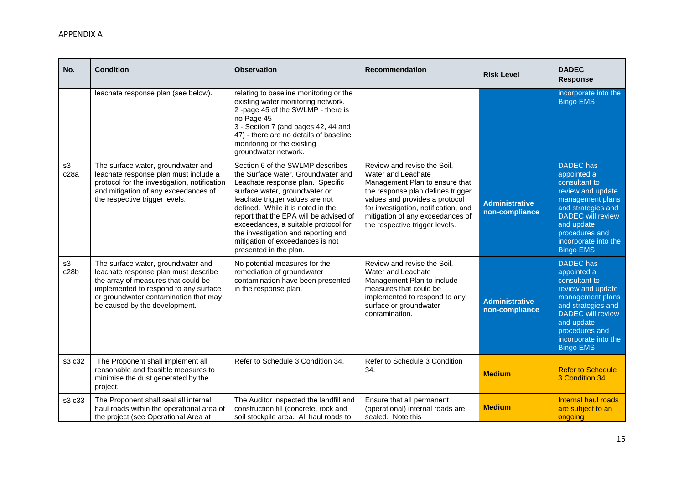| No.        | <b>Condition</b>                                                                                                                                                                                                                     | <b>Observation</b>                                                                                                                                                                                                                                                                                                                                                                                         | <b>Recommendation</b>                                                                                                                                                                                                                                                    | <b>Risk Level</b>                       | <b>DADEC</b><br><b>Response</b>                                                                                                                                                                                         |
|------------|--------------------------------------------------------------------------------------------------------------------------------------------------------------------------------------------------------------------------------------|------------------------------------------------------------------------------------------------------------------------------------------------------------------------------------------------------------------------------------------------------------------------------------------------------------------------------------------------------------------------------------------------------------|--------------------------------------------------------------------------------------------------------------------------------------------------------------------------------------------------------------------------------------------------------------------------|-----------------------------------------|-------------------------------------------------------------------------------------------------------------------------------------------------------------------------------------------------------------------------|
|            | leachate response plan (see below).                                                                                                                                                                                                  | relating to baseline monitoring or the<br>existing water monitoring network.<br>2-page 45 of the SWLMP - there is<br>no Page 45<br>3 - Section 7 (and pages 42, 44 and<br>47) - there are no details of baseline<br>monitoring or the existing<br>groundwater network.                                                                                                                                     |                                                                                                                                                                                                                                                                          |                                         | incorporate into the<br><b>Bingo EMS</b>                                                                                                                                                                                |
| s3<br>c28a | The surface water, groundwater and<br>leachate response plan must include a<br>protocol for the investigation, notification<br>and mitigation of any exceedances of<br>the respective trigger levels.                                | Section 6 of the SWLMP describes<br>the Surface water, Groundwater and<br>Leachate response plan. Specific<br>surface water, groundwater or<br>leachate trigger values are not<br>defined. While it is noted in the<br>report that the EPA will be advised of<br>exceedances, a suitable protocol for<br>the investigation and reporting and<br>mitigation of exceedances is not<br>presented in the plan. | Review and revise the Soil,<br>Water and Leachate<br>Management Plan to ensure that<br>the response plan defines trigger<br>values and provides a protocol<br>for investigation, notification, and<br>mitigation of any exceedances of<br>the respective trigger levels. | <b>Administrative</b><br>non-compliance | <b>DADEC</b> has<br>appointed a<br>consultant to<br>review and update<br>management plans<br>and strategies and<br><b>DADEC</b> will review<br>and update<br>procedures and<br>incorporate into the<br><b>Bingo EMS</b> |
| s3<br>c28b | The surface water, groundwater and<br>leachate response plan must describe<br>the array of measures that could be<br>implemented to respond to any surface<br>or groundwater contamination that may<br>be caused by the development. | No potential measures for the<br>remediation of groundwater<br>contamination have been presented<br>in the response plan.                                                                                                                                                                                                                                                                                  | Review and revise the Soil,<br>Water and Leachate<br>Management Plan to include<br>measures that could be<br>implemented to respond to any<br>surface or groundwater<br>contamination.                                                                                   | <b>Administrative</b><br>non-compliance | <b>DADEC</b> has<br>appointed a<br>consultant to<br>review and update<br>management plans<br>and strategies and<br><b>DADEC</b> will review<br>and update<br>procedures and<br>incorporate into the<br><b>Bingo EMS</b> |
| s3 c32     | The Proponent shall implement all<br>reasonable and feasible measures to<br>minimise the dust generated by the<br>project.                                                                                                           | Refer to Schedule 3 Condition 34.                                                                                                                                                                                                                                                                                                                                                                          | Refer to Schedule 3 Condition<br>34.                                                                                                                                                                                                                                     | <b>Medium</b>                           | <b>Refer to Schedule</b><br>3 Condition 34.                                                                                                                                                                             |
| s3 c33     | The Proponent shall seal all internal<br>haul roads within the operational area of<br>the project (see Operational Area at                                                                                                           | The Auditor inspected the landfill and<br>construction fill (concrete, rock and<br>soil stockpile area. All haul roads to                                                                                                                                                                                                                                                                                  | Ensure that all permanent<br>(operational) internal roads are<br>sealed. Note this                                                                                                                                                                                       | <b>Medium</b>                           | Internal haul roads<br>are subject to an<br>ongoing                                                                                                                                                                     |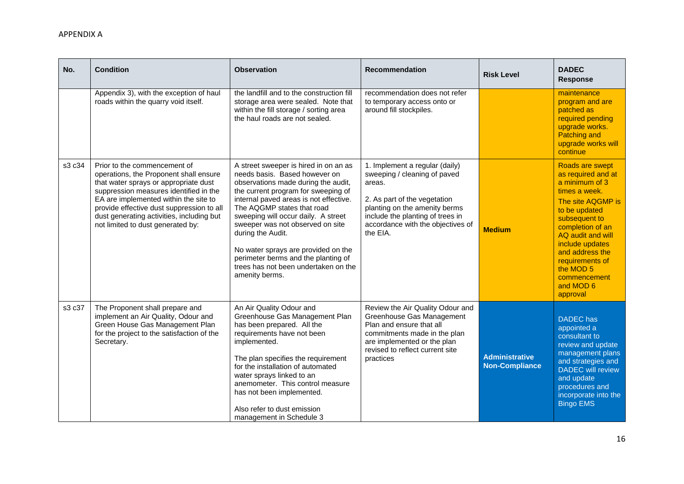| No.    | <b>Condition</b>                                                                                                                                                                                                                                                                                                                  | <b>Observation</b>                                                                                                                                                                                                                                                                                                                                                                                                                                                   | <b>Recommendation</b>                                                                                                                                                                                                          | <b>Risk Level</b>                              | <b>DADEC</b><br><b>Response</b>                                                                                                                                                                                                                                                         |
|--------|-----------------------------------------------------------------------------------------------------------------------------------------------------------------------------------------------------------------------------------------------------------------------------------------------------------------------------------|----------------------------------------------------------------------------------------------------------------------------------------------------------------------------------------------------------------------------------------------------------------------------------------------------------------------------------------------------------------------------------------------------------------------------------------------------------------------|--------------------------------------------------------------------------------------------------------------------------------------------------------------------------------------------------------------------------------|------------------------------------------------|-----------------------------------------------------------------------------------------------------------------------------------------------------------------------------------------------------------------------------------------------------------------------------------------|
|        | Appendix 3), with the exception of haul<br>roads within the quarry void itself.                                                                                                                                                                                                                                                   | the landfill and to the construction fill<br>storage area were sealed. Note that<br>within the fill storage / sorting area<br>the haul roads are not sealed.                                                                                                                                                                                                                                                                                                         | recommendation does not refer<br>to temporary access onto or<br>around fill stockpiles.                                                                                                                                        |                                                | maintenance<br>program and are<br>patched as<br>required pending<br>upgrade works.<br><b>Patching and</b><br>upgrade works will<br>continue                                                                                                                                             |
| s3 c34 | Prior to the commencement of<br>operations, the Proponent shall ensure<br>that water sprays or appropriate dust<br>suppression measures identified in the<br>EA are implemented within the site to<br>provide effective dust suppression to all<br>dust generating activities, including but<br>not limited to dust generated by: | A street sweeper is hired in on an as<br>needs basis. Based however on<br>observations made during the audit,<br>the current program for sweeping of<br>internal paved areas is not effective.<br>The AQGMP states that road<br>sweeping will occur daily. A street<br>sweeper was not observed on site<br>during the Audit.<br>No water sprays are provided on the<br>perimeter berms and the planting of<br>trees has not been undertaken on the<br>amenity berms. | 1. Implement a regular (daily)<br>sweeping / cleaning of paved<br>areas.<br>2. As part of the vegetation<br>planting on the amenity berms<br>include the planting of trees in<br>accordance with the objectives of<br>the EIA. | <b>Medium</b>                                  | Roads are swept<br>as required and at<br>a minimum of 3<br>times a week.<br>The site AQGMP is<br>to be updated<br>subsequent to<br>completion of an<br>AQ audit and will<br>include updates<br>and address the<br>requirements of<br>the MOD 5<br>commencement<br>and MOD 6<br>approval |
| s3 c37 | The Proponent shall prepare and<br>implement an Air Quality, Odour and<br>Green House Gas Management Plan<br>for the project to the satisfaction of the<br>Secretary.                                                                                                                                                             | An Air Quality Odour and<br>Greenhouse Gas Management Plan<br>has been prepared. All the<br>requirements have not been<br>implemented.<br>The plan specifies the requirement<br>for the installation of automated<br>water sprays linked to an<br>anemometer. This control measure<br>has not been implemented.<br>Also refer to dust emission<br>management in Schedule 3                                                                                           | Review the Air Quality Odour and<br>Greenhouse Gas Management<br>Plan and ensure that all<br>commitments made in the plan<br>are implemented or the plan<br>revised to reflect current site<br>practices                       | <b>Administrative</b><br><b>Non-Compliance</b> | <b>DADEC</b> has<br>appointed a<br>consultant to<br>review and update<br>management plans<br>and strategies and<br><b>DADEC</b> will review<br>and update<br>procedures and<br>incorporate into the<br><b>Bingo EMS</b>                                                                 |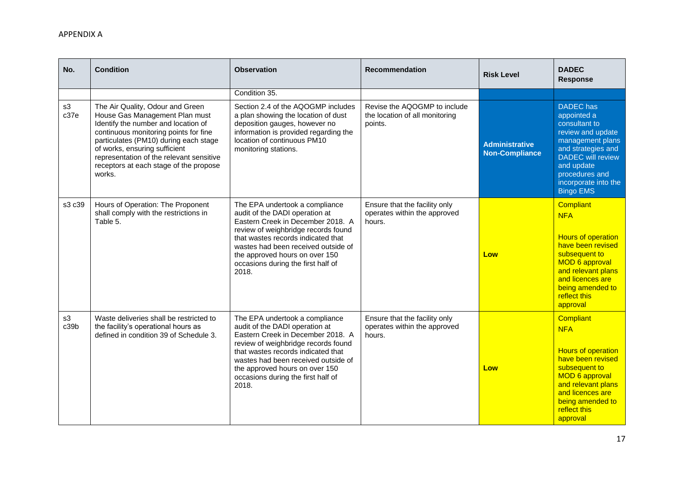| No.        | <b>Condition</b>                                                                                                                                                                                                                                                                                                             | <b>Observation</b>                                                                                                                                                                                                                                                                                         | <b>Recommendation</b>                                                     | <b>Risk Level</b>                              | <b>DADEC</b><br><b>Response</b>                                                                                                                                                                                         |
|------------|------------------------------------------------------------------------------------------------------------------------------------------------------------------------------------------------------------------------------------------------------------------------------------------------------------------------------|------------------------------------------------------------------------------------------------------------------------------------------------------------------------------------------------------------------------------------------------------------------------------------------------------------|---------------------------------------------------------------------------|------------------------------------------------|-------------------------------------------------------------------------------------------------------------------------------------------------------------------------------------------------------------------------|
|            |                                                                                                                                                                                                                                                                                                                              | Condition 35.                                                                                                                                                                                                                                                                                              |                                                                           |                                                |                                                                                                                                                                                                                         |
| s3<br>c37e | The Air Quality, Odour and Green<br>House Gas Management Plan must<br>Identify the number and location of<br>continuous monitoring points for fine<br>particulates (PM10) during each stage<br>of works, ensuring sufficient<br>representation of the relevant sensitive<br>receptors at each stage of the propose<br>works. | Section 2.4 of the AQOGMP includes<br>a plan showing the location of dust<br>deposition gauges, however no<br>information is provided regarding the<br>location of continuous PM10<br>monitoring stations.                                                                                                 | Revise the AQOGMP to include<br>the location of all monitoring<br>points. | <b>Administrative</b><br><b>Non-Compliance</b> | <b>DADEC</b> has<br>appointed a<br>consultant to<br>review and update<br>management plans<br>and strategies and<br><b>DADEC</b> will review<br>and update<br>procedures and<br>incorporate into the<br><b>Bingo EMS</b> |
| s3 c39     | Hours of Operation: The Proponent<br>shall comply with the restrictions in<br>Table 5.                                                                                                                                                                                                                                       | The EPA undertook a compliance<br>audit of the DADI operation at<br>Eastern Creek in December 2018. A<br>review of weighbridge records found<br>that wastes records indicated that<br>wastes had been received outside of<br>the approved hours on over 150<br>occasions during the first half of<br>2018. | Ensure that the facility only<br>operates within the approved<br>hours.   | Low                                            | <b>Compliant</b><br><b>NFA</b><br><b>Hours of operation</b><br>have been revised<br>subsequent to<br><b>MOD 6 approval</b><br>and relevant plans<br>and licences are<br>being amended to<br>reflect this<br>approval    |
| s3<br>c39b | Waste deliveries shall be restricted to<br>the facility's operational hours as<br>defined in condition 39 of Schedule 3.                                                                                                                                                                                                     | The EPA undertook a compliance<br>audit of the DADI operation at<br>Eastern Creek in December 2018. A<br>review of weighbridge records found<br>that wastes records indicated that<br>wastes had been received outside of<br>the approved hours on over 150<br>occasions during the first half of<br>2018. | Ensure that the facility only<br>operates within the approved<br>hours.   | Low                                            | Compliant<br><b>NFA</b><br><b>Hours of operation</b><br>have been revised<br>subsequent to<br><b>MOD 6 approval</b><br>and relevant plans<br>and licences are<br>being amended to<br>reflect this<br>approval           |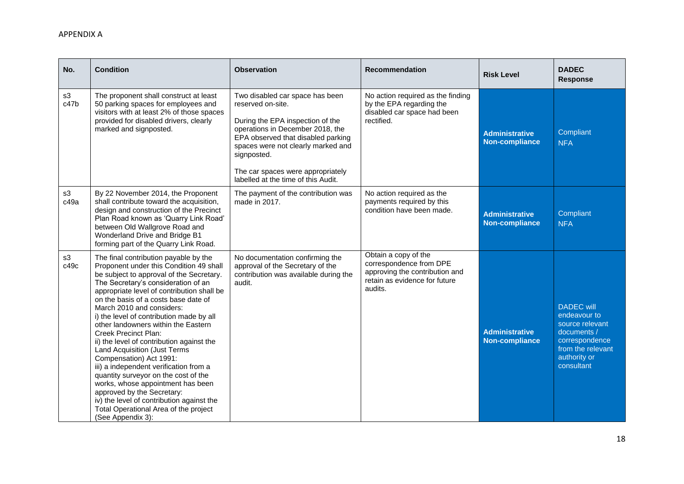| No.        | <b>Condition</b>                                                                                                                                                                                                                                                                                                                                                                                                                                                                                                                                                                                                                                                                                                                                                                 | <b>Observation</b>                                                                                                                                                                                                                                                                                  | <b>Recommendation</b>                                                                                                         | <b>Risk Level</b>                              | <b>DADEC</b><br><b>Response</b>                                                                                                          |
|------------|----------------------------------------------------------------------------------------------------------------------------------------------------------------------------------------------------------------------------------------------------------------------------------------------------------------------------------------------------------------------------------------------------------------------------------------------------------------------------------------------------------------------------------------------------------------------------------------------------------------------------------------------------------------------------------------------------------------------------------------------------------------------------------|-----------------------------------------------------------------------------------------------------------------------------------------------------------------------------------------------------------------------------------------------------------------------------------------------------|-------------------------------------------------------------------------------------------------------------------------------|------------------------------------------------|------------------------------------------------------------------------------------------------------------------------------------------|
| s3<br>c47b | The proponent shall construct at least<br>50 parking spaces for employees and<br>visitors with at least 2% of those spaces<br>provided for disabled drivers, clearly<br>marked and signposted.                                                                                                                                                                                                                                                                                                                                                                                                                                                                                                                                                                                   | Two disabled car space has been<br>reserved on-site.<br>During the EPA inspection of the<br>operations in December 2018, the<br>EPA observed that disabled parking<br>spaces were not clearly marked and<br>signposted.<br>The car spaces were appropriately<br>labelled at the time of this Audit. | No action required as the finding<br>by the EPA regarding the<br>disabled car space had been<br>rectified.                    | <b>Administrative</b><br><b>Non-compliance</b> | Compliant<br><b>NFA</b>                                                                                                                  |
| s3<br>c49a | By 22 November 2014, the Proponent<br>shall contribute toward the acquisition,<br>design and construction of the Precinct<br>Plan Road known as 'Quarry Link Road'<br>between Old Wallgrove Road and<br>Wonderland Drive and Bridge B1<br>forming part of the Quarry Link Road.                                                                                                                                                                                                                                                                                                                                                                                                                                                                                                  | The payment of the contribution was<br>made in 2017.                                                                                                                                                                                                                                                | No action required as the<br>payments required by this<br>condition have been made.                                           | <b>Administrative</b><br>Non-compliance        | Compliant<br><b>NFA</b>                                                                                                                  |
| s3<br>c49c | The final contribution payable by the<br>Proponent under this Condition 49 shall<br>be subject to approval of the Secretary.<br>The Secretary's consideration of an<br>appropriate level of contribution shall be<br>on the basis of a costs base date of<br>March 2010 and considers:<br>i) the level of contribution made by all<br>other landowners within the Eastern<br><b>Creek Precinct Plan:</b><br>ii) the level of contribution against the<br>Land Acquisition (Just Terms<br>Compensation) Act 1991:<br>iii) a independent verification from a<br>quantity surveyor on the cost of the<br>works, whose appointment has been<br>approved by the Secretary:<br>iv) the level of contribution against the<br>Total Operational Area of the project<br>(See Appendix 3): | No documentation confirming the<br>approval of the Secretary of the<br>contribution was available during the<br>audit.                                                                                                                                                                              | Obtain a copy of the<br>correspondence from DPE<br>approving the contribution and<br>retain as evidence for future<br>audits. | <b>Administrative</b><br><b>Non-compliance</b> | <b>DADEC</b> will<br>endeavour to<br>source relevant<br>documents /<br>correspondence<br>from the relevant<br>authority or<br>consultant |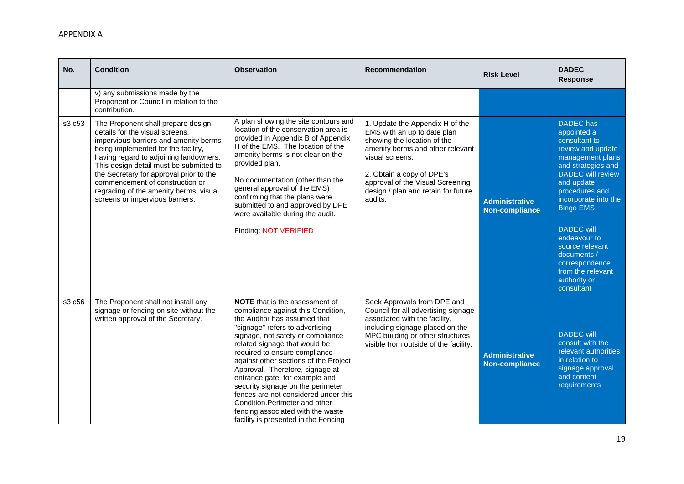| No.    | <b>Condition</b>                                                                                                                                                                                                                                                                                                                                                                                      | <b>Observation</b>                                                                                                                                                                                                                                                                                                                                                                                                                                                                                                                                              | <b>Recommendation</b>                                                                                                                                                                                                                                                   | <b>Risk Level</b>                              | <b>DADEC</b><br><b>Response</b>                                                                                                                                                                                                                                                                                                                                     |
|--------|-------------------------------------------------------------------------------------------------------------------------------------------------------------------------------------------------------------------------------------------------------------------------------------------------------------------------------------------------------------------------------------------------------|-----------------------------------------------------------------------------------------------------------------------------------------------------------------------------------------------------------------------------------------------------------------------------------------------------------------------------------------------------------------------------------------------------------------------------------------------------------------------------------------------------------------------------------------------------------------|-------------------------------------------------------------------------------------------------------------------------------------------------------------------------------------------------------------------------------------------------------------------------|------------------------------------------------|---------------------------------------------------------------------------------------------------------------------------------------------------------------------------------------------------------------------------------------------------------------------------------------------------------------------------------------------------------------------|
|        | v) any submissions made by the<br>Proponent or Council in relation to the<br>contribution.                                                                                                                                                                                                                                                                                                            |                                                                                                                                                                                                                                                                                                                                                                                                                                                                                                                                                                 |                                                                                                                                                                                                                                                                         |                                                |                                                                                                                                                                                                                                                                                                                                                                     |
| s3 c53 | The Proponent shall prepare design<br>details for the visual screens,<br>impervious barriers and amenity berms<br>being implemented for the facility,<br>having regard to adjoining landowners.<br>This design detail must be submitted to<br>the Secretary for approval prior to the<br>commencement of construction or<br>regrading of the amenity berms, visual<br>screens or impervious barriers. | A plan showing the site contours and<br>location of the conservation area is<br>provided in Appendix B of Appendix<br>H of the EMS. The location of the<br>amenity berms is not clear on the<br>provided plan.<br>No documentation (other than the<br>general approval of the EMS)<br>confirming that the plans were<br>submitted to and approved by DPE<br>were available during the audit.<br>Finding: NOT VERIFIED                                                                                                                                           | 1. Update the Appendix H of the<br>EMS with an up to date plan<br>showing the location of the<br>amenity berms and other relevant<br>visual screens.<br>2. Obtain a copy of DPE's<br>approval of the Visual Screening<br>design / plan and retain for future<br>audits. | <b>Administrative</b><br><b>Non-compliance</b> | <b>DADEC</b> has<br>appointed a<br>consultant to<br>review and update<br>management plans<br>and strategies and<br><b>DADEC</b> will review<br>and update<br>procedures and<br>incorporate into the<br><b>Bingo EMS</b><br><b>DADEC</b> will<br>endeavour to<br>source relevant<br>documents /<br>correspondence<br>from the relevant<br>authority or<br>consultant |
| s3 c56 | The Proponent shall not install any<br>signage or fencing on site without the<br>written approval of the Secretary.                                                                                                                                                                                                                                                                                   | <b>NOTE</b> that is the assessment of<br>compliance against this Condition,<br>the Auditor has assumed that<br>"signage" refers to advertising<br>signage, not safety or compliance<br>related signage that would be<br>required to ensure compliance<br>against other sections of the Project<br>Approval. Therefore, signage at<br>entrance gate, for example and<br>security signage on the perimeter<br>fences are not considered under this<br>Condition. Perimeter and other<br>fencing associated with the waste<br>facility is presented in the Fencing | Seek Approvals from DPE and<br>Council for all advertising signage<br>associated with the facility,<br>including signage placed on the<br>MPC building or other structures<br>visible from outside of the facility.                                                     | <b>Administrative</b><br><b>Non-compliance</b> | <b>DADEC</b> will<br>consult with the<br>relevant authorities<br>in relation to<br>signage approval<br>and content<br>requirements                                                                                                                                                                                                                                  |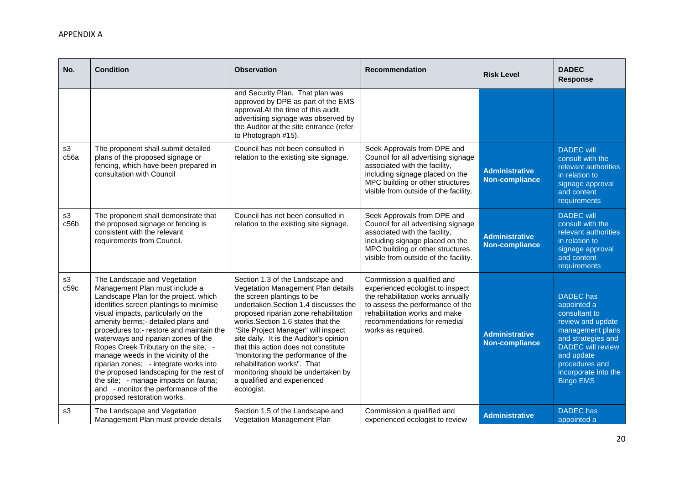| No.        | <b>Condition</b>                                                                                                                                                                                                                                                                                                                                                                                                                                                                                                                                                                                       | <b>Observation</b>                                                                                                                                                                                                                                                                                                                                                                                                                                                                                            | <b>Recommendation</b>                                                                                                                                                                                                          | <b>Risk Level</b>                              | <b>DADEC</b><br><b>Response</b>                                                                                                                                                                                         |
|------------|--------------------------------------------------------------------------------------------------------------------------------------------------------------------------------------------------------------------------------------------------------------------------------------------------------------------------------------------------------------------------------------------------------------------------------------------------------------------------------------------------------------------------------------------------------------------------------------------------------|---------------------------------------------------------------------------------------------------------------------------------------------------------------------------------------------------------------------------------------------------------------------------------------------------------------------------------------------------------------------------------------------------------------------------------------------------------------------------------------------------------------|--------------------------------------------------------------------------------------------------------------------------------------------------------------------------------------------------------------------------------|------------------------------------------------|-------------------------------------------------------------------------------------------------------------------------------------------------------------------------------------------------------------------------|
|            |                                                                                                                                                                                                                                                                                                                                                                                                                                                                                                                                                                                                        | and Security Plan. That plan was<br>approved by DPE as part of the EMS<br>approval.At the time of this audit,<br>advertising signage was observed by<br>the Auditor at the site entrance (refer<br>to Photograph #15).                                                                                                                                                                                                                                                                                        |                                                                                                                                                                                                                                |                                                |                                                                                                                                                                                                                         |
| s3<br>c56a | The proponent shall submit detailed<br>plans of the proposed signage or<br>fencing, which have been prepared in<br>consultation with Council                                                                                                                                                                                                                                                                                                                                                                                                                                                           | Council has not been consulted in<br>relation to the existing site signage.                                                                                                                                                                                                                                                                                                                                                                                                                                   | Seek Approvals from DPE and<br>Council for all advertising signage<br>associated with the facility,<br>including signage placed on the<br>MPC building or other structures<br>visible from outside of the facility.            | <b>Administrative</b><br><b>Non-compliance</b> | <b>DADEC</b> will<br>consult with the<br>relevant authorities<br>in relation to<br>signage approval<br>and content<br>requirements                                                                                      |
| s3<br>c56b | The proponent shall demonstrate that<br>the proposed signage or fencing is<br>consistent with the relevant<br>requirements from Council.                                                                                                                                                                                                                                                                                                                                                                                                                                                               | Council has not been consulted in<br>relation to the existing site signage.                                                                                                                                                                                                                                                                                                                                                                                                                                   | Seek Approvals from DPE and<br>Council for all advertising signage<br>associated with the facility,<br>including signage placed on the<br>MPC building or other structures<br>visible from outside of the facility.            | <b>Administrative</b><br>Non-compliance        | <b>DADEC</b> will<br>consult with the<br>relevant authorities<br>in relation to<br>signage approval<br>and content<br>requirements                                                                                      |
| s3<br>c59c | The Landscape and Vegetation<br>Management Plan must include a<br>Landscape Plan for the project, which<br>identifies screen plantings to minimise<br>visual impacts, particularly on the<br>amenity berms;- detailed plans and<br>procedures to:- restore and maintain the<br>waterways and riparian zones of the<br>Ropes Creek Tributary on the site; -<br>manage weeds in the vicinity of the<br>riparian zones; - integrate works into<br>the proposed landscaping for the rest of<br>the site; - manage impacts on fauna;<br>and - monitor the performance of the<br>proposed restoration works. | Section 1.3 of the Landscape and<br>Vegetation Management Plan details<br>the screen plantings to be<br>undertaken.Section 1.4 discusses the<br>proposed riparian zone rehabilitation<br>works. Section 1.6 states that the<br>"Site Project Manager" will inspect<br>site daily. It is the Auditor's opinion<br>that this action does not constitute<br>"monitoring the performance of the<br>rehabilitation works". That<br>monitoring should be undertaken by<br>a qualified and experienced<br>ecologist. | Commission a qualified and<br>experienced ecologist to inspect<br>the rehabilitation works annually<br>to assess the performance of the<br>rehabilitation works and make<br>recommendations for remedial<br>works as required. | <b>Administrative</b><br>Non-compliance        | <b>DADEC</b> has<br>appointed a<br>consultant to<br>review and update<br>management plans<br>and strategies and<br><b>DADEC</b> will review<br>and update<br>procedures and<br>incorporate into the<br><b>Bingo EMS</b> |
| s3         | The Landscape and Vegetation<br>Management Plan must provide details                                                                                                                                                                                                                                                                                                                                                                                                                                                                                                                                   | Section 1.5 of the Landscape and<br>Vegetation Management Plan                                                                                                                                                                                                                                                                                                                                                                                                                                                | Commission a qualified and<br>experienced ecologist to review                                                                                                                                                                  | <b>Administrative</b>                          | <b>DADEC</b> has<br>appointed a                                                                                                                                                                                         |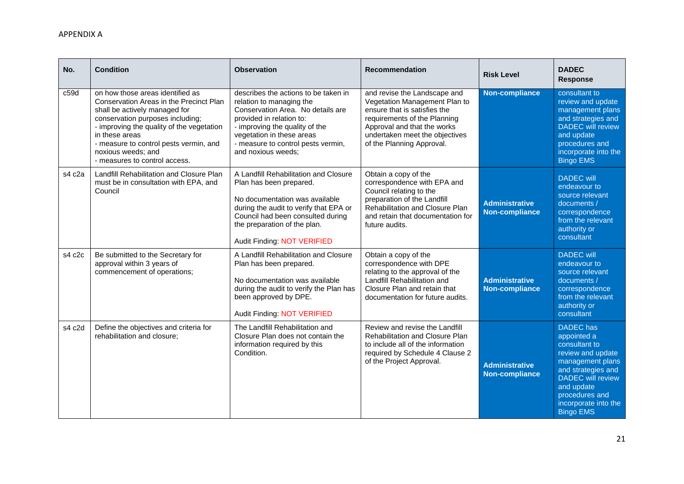| No.              | <b>Condition</b>                                                                                                                                                                                                                                                                                                 | <b>Observation</b>                                                                                                                                                                                                                                           | <b>Recommendation</b>                                                                                                                                                                                                       | <b>Risk Level</b>                              | <b>DADEC</b><br><b>Response</b>                                                                                                                                                                                         |
|------------------|------------------------------------------------------------------------------------------------------------------------------------------------------------------------------------------------------------------------------------------------------------------------------------------------------------------|--------------------------------------------------------------------------------------------------------------------------------------------------------------------------------------------------------------------------------------------------------------|-----------------------------------------------------------------------------------------------------------------------------------------------------------------------------------------------------------------------------|------------------------------------------------|-------------------------------------------------------------------------------------------------------------------------------------------------------------------------------------------------------------------------|
| c <sub>59d</sub> | on how those areas identified as<br>Conservation Areas in the Precinct Plan<br>shall be actively managed for<br>conservation purposes including;<br>- improving the quality of the vegetation<br>in these areas<br>- measure to control pests vermin, and<br>noxious weeds; and<br>- measures to control access. | describes the actions to be taken in<br>relation to managing the<br>Conservation Area. No details are<br>provided in relation to:<br>- improving the quality of the<br>vegetation in these areas<br>- measure to control pests vermin,<br>and noxious weeds; | and revise the Landscape and<br>Vegetation Management Plan to<br>ensure that is satisfies the<br>requirements of the Planning<br>Approval and that the works<br>undertaken meet the objectives<br>of the Planning Approval. | <b>Non-compliance</b>                          | consultant to<br>review and update<br>management plans<br>and strategies and<br><b>DADEC</b> will review<br>and update<br>procedures and<br>incorporate into the<br><b>Bingo EMS</b>                                    |
| s4 c2a           | Landfill Rehabilitation and Closure Plan<br>must be in consultation with EPA, and<br>Council                                                                                                                                                                                                                     | A Landfill Rehabilitation and Closure<br>Plan has been prepared.<br>No documentation was available<br>during the audit to verify that EPA or<br>Council had been consulted during<br>the preparation of the plan.<br>Audit Finding: NOT VERIFIED             | Obtain a copy of the<br>correspondence with EPA and<br>Council relating to the<br>preparation of the Landfill<br><b>Rehabilitation and Closure Plan</b><br>and retain that documentation for<br>future audits.              | <b>Administrative</b><br><b>Non-compliance</b> | <b>DADEC</b> will<br>endeavour to<br>source relevant<br>documents /<br>correspondence<br>from the relevant<br>authority or<br>consultant                                                                                |
| s4 c2c           | Be submitted to the Secretary for<br>approval within 3 years of<br>commencement of operations;                                                                                                                                                                                                                   | A Landfill Rehabilitation and Closure<br>Plan has been prepared.<br>No documentation was available<br>during the audit to verify the Plan has<br>been approved by DPE.<br>Audit Finding: NOT VERIFIED                                                        | Obtain a copy of the<br>correspondence with DPE<br>relating to the approval of the<br>Landfill Rehabilitation and<br>Closure Plan and retain that<br>documentation for future audits.                                       | <b>Administrative</b><br><b>Non-compliance</b> | <b>DADEC</b> will<br>endeavour to<br>source relevant<br>documents /<br>correspondence<br>from the relevant<br>authority or<br>consultant                                                                                |
| s4 c2d           | Define the objectives and criteria for<br>rehabilitation and closure;                                                                                                                                                                                                                                            | The Landfill Rehabilitation and<br>Closure Plan does not contain the<br>information required by this<br>Condition.                                                                                                                                           | Review and revise the Landfill<br>Rehabilitation and Closure Plan<br>to include all of the information<br>required by Schedule 4 Clause 2<br>of the Project Approval.                                                       | <b>Administrative</b><br>Non-compliance        | <b>DADEC</b> has<br>appointed a<br>consultant to<br>review and update<br>management plans<br>and strategies and<br><b>DADEC</b> will review<br>and update<br>procedures and<br>incorporate into the<br><b>Bingo EMS</b> |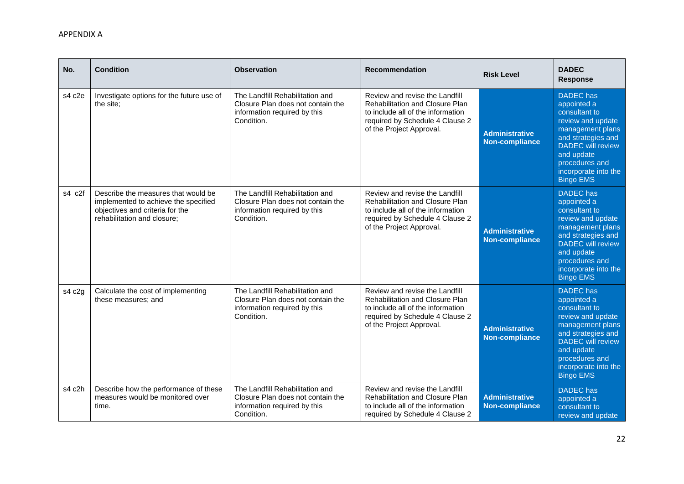| No.        | <b>Condition</b>                                                                                                                              | <b>Observation</b>                                                                                                 | <b>Recommendation</b>                                                                                                                                                        | <b>Risk Level</b>                              | <b>DADEC</b><br><b>Response</b>                                                                                                                                                                                         |
|------------|-----------------------------------------------------------------------------------------------------------------------------------------------|--------------------------------------------------------------------------------------------------------------------|------------------------------------------------------------------------------------------------------------------------------------------------------------------------------|------------------------------------------------|-------------------------------------------------------------------------------------------------------------------------------------------------------------------------------------------------------------------------|
| s4 c2e     | Investigate options for the future use of<br>the site;                                                                                        | The Landfill Rehabilitation and<br>Closure Plan does not contain the<br>information required by this<br>Condition. | Review and revise the Landfill<br><b>Rehabilitation and Closure Plan</b><br>to include all of the information<br>required by Schedule 4 Clause 2<br>of the Project Approval. | <b>Administrative</b><br><b>Non-compliance</b> | <b>DADEC</b> has<br>appointed a<br>consultant to<br>review and update<br>management plans<br>and strategies and<br><b>DADEC</b> will review<br>and update<br>procedures and<br>incorporate into the<br><b>Bingo EMS</b> |
| $s4$ $c2f$ | Describe the measures that would be<br>implemented to achieve the specified<br>objectives and criteria for the<br>rehabilitation and closure; | The Landfill Rehabilitation and<br>Closure Plan does not contain the<br>information required by this<br>Condition. | Review and revise the Landfill<br>Rehabilitation and Closure Plan<br>to include all of the information<br>required by Schedule 4 Clause 2<br>of the Project Approval.        | <b>Administrative</b><br><b>Non-compliance</b> | <b>DADEC</b> has<br>appointed a<br>consultant to<br>review and update<br>management plans<br>and strategies and<br><b>DADEC</b> will review<br>and update<br>procedures and<br>incorporate into the<br><b>Bingo EMS</b> |
| s4 c2g     | Calculate the cost of implementing<br>these measures; and                                                                                     | The Landfill Rehabilitation and<br>Closure Plan does not contain the<br>information required by this<br>Condition. | Review and revise the Landfill<br>Rehabilitation and Closure Plan<br>to include all of the information<br>required by Schedule 4 Clause 2<br>of the Project Approval.        | <b>Administrative</b><br><b>Non-compliance</b> | <b>DADEC</b> has<br>appointed a<br>consultant to<br>review and update<br>management plans<br>and strategies and<br><b>DADEC</b> will review<br>and update<br>procedures and<br>incorporate into the<br><b>Bingo EMS</b> |
| s4 c2h     | Describe how the performance of these<br>measures would be monitored over<br>time.                                                            | The Landfill Rehabilitation and<br>Closure Plan does not contain the<br>information required by this<br>Condition. | Review and revise the Landfill<br><b>Rehabilitation and Closure Plan</b><br>to include all of the information<br>required by Schedule 4 Clause 2                             | <b>Administrative</b><br><b>Non-compliance</b> | <b>DADEC</b> has<br>appointed a<br>consultant to<br>review and update                                                                                                                                                   |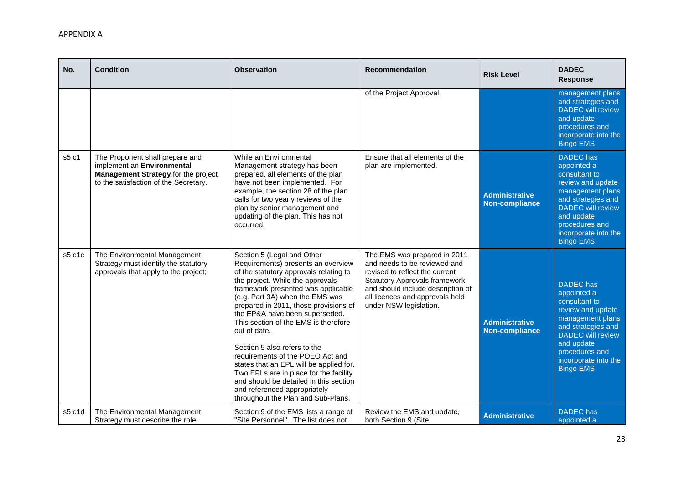| No.    | <b>Condition</b>                                                                                                                              | <b>Observation</b>                                                                                                                                                                                                                                                                                                                                                                                                                                                                                                                                                                                                                  | <b>Recommendation</b>                                                                                                                                                                                                                    | <b>Risk Level</b>                              | <b>DADEC</b><br><b>Response</b>                                                                                                                                                                                         |
|--------|-----------------------------------------------------------------------------------------------------------------------------------------------|-------------------------------------------------------------------------------------------------------------------------------------------------------------------------------------------------------------------------------------------------------------------------------------------------------------------------------------------------------------------------------------------------------------------------------------------------------------------------------------------------------------------------------------------------------------------------------------------------------------------------------------|------------------------------------------------------------------------------------------------------------------------------------------------------------------------------------------------------------------------------------------|------------------------------------------------|-------------------------------------------------------------------------------------------------------------------------------------------------------------------------------------------------------------------------|
|        |                                                                                                                                               |                                                                                                                                                                                                                                                                                                                                                                                                                                                                                                                                                                                                                                     | of the Project Approval.                                                                                                                                                                                                                 |                                                | management plans<br>and strategies and<br><b>DADEC</b> will review<br>and update<br>procedures and<br>incorporate into the<br><b>Bingo EMS</b>                                                                          |
| s5 c1  | The Proponent shall prepare and<br>implement an Environmental<br>Management Strategy for the project<br>to the satisfaction of the Secretary. | While an Environmental<br>Management strategy has been<br>prepared, all elements of the plan<br>have not been implemented. For<br>example, the section 28 of the plan<br>calls for two yearly reviews of the<br>plan by senior management and<br>updating of the plan. This has not<br>occurred.                                                                                                                                                                                                                                                                                                                                    | Ensure that all elements of the<br>plan are implemented.                                                                                                                                                                                 | <b>Administrative</b><br><b>Non-compliance</b> | <b>DADEC</b> has<br>appointed a<br>consultant to<br>review and update<br>management plans<br>and strategies and<br><b>DADEC</b> will review<br>and update<br>procedures and<br>incorporate into the<br><b>Bingo EMS</b> |
| s5 c1c | The Environmental Management<br>Strategy must identify the statutory<br>approvals that apply to the project;                                  | Section 5 (Legal and Other<br>Requirements) presents an overview<br>of the statutory approvals relating to<br>the project. While the approvals<br>framework presented was applicable<br>(e.g. Part 3A) when the EMS was<br>prepared in 2011, those provisions of<br>the EP&A have been superseded.<br>This section of the EMS is therefore<br>out of date.<br>Section 5 also refers to the<br>requirements of the POEO Act and<br>states that an EPL will be applied for.<br>Two EPLs are in place for the facility<br>and should be detailed in this section<br>and referenced appropriately<br>throughout the Plan and Sub-Plans. | The EMS was prepared in 2011<br>and needs to be reviewed and<br>revised to reflect the current<br><b>Statutory Approvals framework</b><br>and should include description of<br>all licences and approvals held<br>under NSW legislation. | <b>Administrative</b><br><b>Non-compliance</b> | <b>DADEC</b> has<br>appointed a<br>consultant to<br>review and update<br>management plans<br>and strategies and<br><b>DADEC</b> will review<br>and update<br>procedures and<br>incorporate into the<br><b>Bingo EMS</b> |
| s5 c1d | The Environmental Management<br>Strategy must describe the role,                                                                              | Section 9 of the EMS lists a range of<br>"Site Personnel". The list does not                                                                                                                                                                                                                                                                                                                                                                                                                                                                                                                                                        | Review the EMS and update,<br>both Section 9 (Site                                                                                                                                                                                       | <b>Administrative</b>                          | <b>DADEC</b> has<br>appointed a                                                                                                                                                                                         |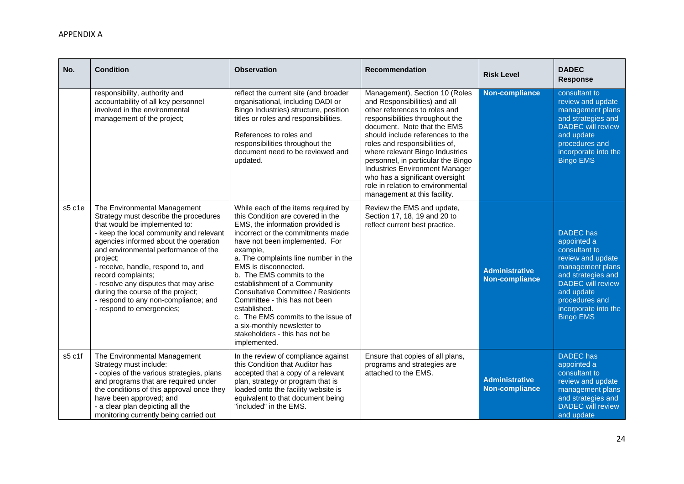| No.    | <b>Condition</b>                                                                                                                                                                                                                                                                                                                                                                                                                                              | <b>Observation</b>                                                                                                                                                                                                                                                                                                                                                                                                                                                                                                                                | <b>Recommendation</b>                                                                                                                                                                                                                                                                                                                                                                                                                                              | <b>Risk Level</b>                              | <b>DADEC</b><br><b>Response</b>                                                                                                                                                                                         |
|--------|---------------------------------------------------------------------------------------------------------------------------------------------------------------------------------------------------------------------------------------------------------------------------------------------------------------------------------------------------------------------------------------------------------------------------------------------------------------|---------------------------------------------------------------------------------------------------------------------------------------------------------------------------------------------------------------------------------------------------------------------------------------------------------------------------------------------------------------------------------------------------------------------------------------------------------------------------------------------------------------------------------------------------|--------------------------------------------------------------------------------------------------------------------------------------------------------------------------------------------------------------------------------------------------------------------------------------------------------------------------------------------------------------------------------------------------------------------------------------------------------------------|------------------------------------------------|-------------------------------------------------------------------------------------------------------------------------------------------------------------------------------------------------------------------------|
|        | responsibility, authority and<br>accountability of all key personnel<br>involved in the environmental<br>management of the project;                                                                                                                                                                                                                                                                                                                           | reflect the current site (and broader<br>organisational, including DADI or<br>Bingo Industries) structure, position<br>titles or roles and responsibilities.<br>References to roles and<br>responsibilities throughout the<br>document need to be reviewed and<br>updated.                                                                                                                                                                                                                                                                        | Management), Section 10 (Roles<br>and Responsibilities) and all<br>other references to roles and<br>responsibilities throughout the<br>document. Note that the EMS<br>should include references to the<br>roles and responsibilities of,<br>where relevant Bingo Industries<br>personnel, in particular the Bingo<br><b>Industries Environment Manager</b><br>who has a significant oversight<br>role in relation to environmental<br>management at this facility. | <b>Non-compliance</b>                          | consultant to<br>review and update<br>management plans<br>and strategies and<br><b>DADEC</b> will review<br>and update<br>procedures and<br>incorporate into the<br><b>Bingo EMS</b>                                    |
| s5 c1e | The Environmental Management<br>Strategy must describe the procedures<br>that would be implemented to:<br>- keep the local community and relevant<br>agencies informed about the operation<br>and environmental performance of the<br>project;<br>- receive, handle, respond to, and<br>record complaints;<br>- resolve any disputes that may arise<br>during the course of the project;<br>- respond to any non-compliance; and<br>- respond to emergencies; | While each of the items required by<br>this Condition are covered in the<br>EMS, the information provided is<br>incorrect or the commitments made<br>have not been implemented. For<br>example,<br>a. The complaints line number in the<br>EMS is disconnected.<br>b. The EMS commits to the<br>establishment of a Community<br><b>Consultative Committee / Residents</b><br>Committee - this has not been<br>established.<br>c. The EMS commits to the issue of<br>a six-monthly newsletter to<br>stakeholders - this has not be<br>implemented. | Review the EMS and update,<br>Section 17, 18, 19 and 20 to<br>reflect current best practice.                                                                                                                                                                                                                                                                                                                                                                       | <b>Administrative</b><br><b>Non-compliance</b> | <b>DADEC</b> has<br>appointed a<br>consultant to<br>review and update<br>management plans<br>and strategies and<br><b>DADEC</b> will review<br>and update<br>procedures and<br>incorporate into the<br><b>Bingo EMS</b> |
| s5 c1f | The Environmental Management<br>Strategy must include:<br>- copies of the various strategies, plans<br>and programs that are required under<br>the conditions of this approval once they<br>have been approved; and<br>- a clear plan depicting all the<br>monitoring currently being carried out                                                                                                                                                             | In the review of compliance against<br>this Condition that Auditor has<br>accepted that a copy of a relevant<br>plan, strategy or program that is<br>loaded onto the facility website is<br>equivalent to that document being<br>"included" in the EMS.                                                                                                                                                                                                                                                                                           | Ensure that copies of all plans,<br>programs and strategies are<br>attached to the EMS.                                                                                                                                                                                                                                                                                                                                                                            | <b>Administrative</b><br>Non-compliance        | <b>DADEC</b> has<br>appointed a<br>consultant to<br>review and update<br>management plans<br>and strategies and<br><b>DADEC</b> will review<br>and update                                                               |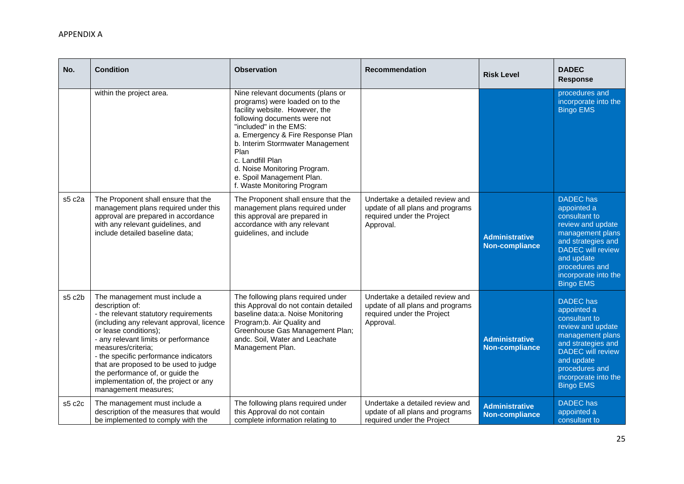| No.    | <b>Condition</b>                                                                                                                                                                                                                                                                                                                                                                                                     | <b>Observation</b>                                                                                                                                                                                                                                                                                                                                                | <b>Recommendation</b>                                                                                          | <b>Risk Level</b>                              | <b>DADEC</b><br><b>Response</b>                                                                                                                                                                                         |
|--------|----------------------------------------------------------------------------------------------------------------------------------------------------------------------------------------------------------------------------------------------------------------------------------------------------------------------------------------------------------------------------------------------------------------------|-------------------------------------------------------------------------------------------------------------------------------------------------------------------------------------------------------------------------------------------------------------------------------------------------------------------------------------------------------------------|----------------------------------------------------------------------------------------------------------------|------------------------------------------------|-------------------------------------------------------------------------------------------------------------------------------------------------------------------------------------------------------------------------|
|        | within the project area.                                                                                                                                                                                                                                                                                                                                                                                             | Nine relevant documents (plans or<br>programs) were loaded on to the<br>facility website. However, the<br>following documents were not<br>"included" in the EMS:<br>a. Emergency & Fire Response Plan<br>b. Interim Stormwater Management<br>Plan<br>c. Landfill Plan<br>d. Noise Monitoring Program.<br>e. Spoil Management Plan.<br>f. Waste Monitoring Program |                                                                                                                |                                                | procedures and<br>incorporate into the<br><b>Bingo EMS</b>                                                                                                                                                              |
| s5 c2a | The Proponent shall ensure that the<br>management plans required under this<br>approval are prepared in accordance<br>with any relevant guidelines, and<br>include detailed baseline data;                                                                                                                                                                                                                           | The Proponent shall ensure that the<br>management plans required under<br>this approval are prepared in<br>accordance with any relevant<br>guidelines, and include                                                                                                                                                                                                | Undertake a detailed review and<br>update of all plans and programs<br>required under the Project<br>Approval. | <b>Administrative</b><br>Non-compliance        | <b>DADEC</b> has<br>appointed a<br>consultant to<br>review and update<br>management plans<br>and strategies and<br><b>DADEC</b> will review<br>and update<br>procedures and<br>incorporate into the<br><b>Bingo EMS</b> |
| s5 c2b | The management must include a<br>description of:<br>- the relevant statutory requirements<br>(including any relevant approval, licence<br>or lease conditions);<br>- any relevant limits or performance<br>measures/criteria;<br>- the specific performance indicators<br>that are proposed to be used to judge<br>the performance of, or guide the<br>implementation of, the project or any<br>management measures; | The following plans required under<br>this Approval do not contain detailed<br>baseline data:a. Noise Monitoring<br>Program;b. Air Quality and<br>Greenhouse Gas Management Plan;<br>andc. Soil, Water and Leachate<br>Management Plan.                                                                                                                           | Undertake a detailed review and<br>update of all plans and programs<br>required under the Project<br>Approval. | <b>Administrative</b><br><b>Non-compliance</b> | <b>DADEC</b> has<br>appointed a<br>consultant to<br>review and update<br>management plans<br>and strategies and<br><b>DADEC</b> will review<br>and update<br>procedures and<br>incorporate into the<br><b>Bingo EMS</b> |
| s5 c2c | The management must include a<br>description of the measures that would<br>be implemented to comply with the                                                                                                                                                                                                                                                                                                         | The following plans required under<br>this Approval do not contain<br>complete information relating to                                                                                                                                                                                                                                                            | Undertake a detailed review and<br>update of all plans and programs<br>required under the Project              | <b>Administrative</b><br><b>Non-compliance</b> | <b>DADEC</b> has<br>appointed a<br>consultant to                                                                                                                                                                        |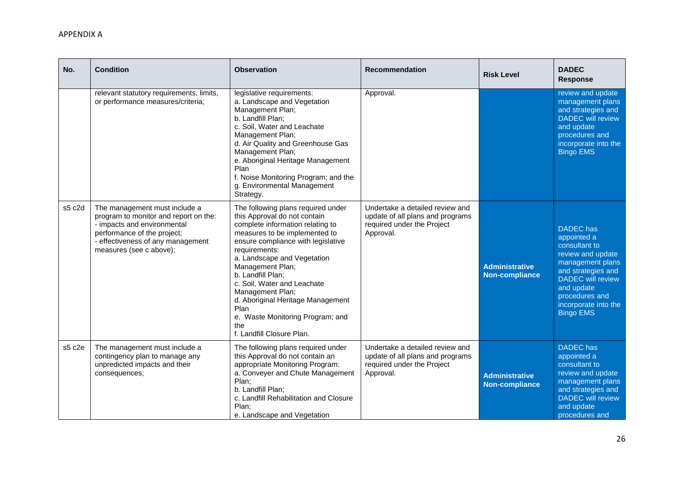| No.    | <b>Condition</b>                                                                                                                                                                                     | <b>Observation</b>                                                                                                                                                                                                                                                                                                                                                                                                                             | <b>Recommendation</b>                                                                                          | <b>Risk Level</b>                              | <b>DADEC</b><br><b>Response</b>                                                                                                                                                                                         |
|--------|------------------------------------------------------------------------------------------------------------------------------------------------------------------------------------------------------|------------------------------------------------------------------------------------------------------------------------------------------------------------------------------------------------------------------------------------------------------------------------------------------------------------------------------------------------------------------------------------------------------------------------------------------------|----------------------------------------------------------------------------------------------------------------|------------------------------------------------|-------------------------------------------------------------------------------------------------------------------------------------------------------------------------------------------------------------------------|
|        | relevant statutory requirements, limits,<br>or performance measures/criteria;                                                                                                                        | legislative requirements:<br>a. Landscape and Vegetation<br>Management Plan;<br>b. Landfill Plan;<br>c. Soil, Water and Leachate<br>Management Plan;<br>d. Air Quality and Greenhouse Gas<br>Management Plan;<br>e. Aboriginal Heritage Management<br>Plan<br>f. Noise Monitoring Program; and the<br>g. Environmental Management<br>Strategy.                                                                                                 | Approval.                                                                                                      |                                                | review and update<br>management plans<br>and strategies and<br><b>DADEC</b> will review<br>and update<br>procedures and<br>incorporate into the<br><b>Bingo EMS</b>                                                     |
| s5 c2d | The management must include a<br>program to monitor and report on the:<br>- impacts and environmental<br>performance of the project;<br>- effectiveness of any management<br>measures (see c above); | The following plans required under<br>this Approval do not contain<br>complete information relating to<br>measures to be implemented to<br>ensure compliance with legislative<br>requirements:<br>a. Landscape and Vegetation<br>Management Plan;<br>b. Landfill Plan;<br>c. Soil, Water and Leachate<br>Management Plan;<br>d. Aboriginal Heritage Management<br>Plan<br>e. Waste Monitoring Program; and<br>the<br>f. Landfill Closure Plan. | Undertake a detailed review and<br>update of all plans and programs<br>required under the Project<br>Approval. | <b>Administrative</b><br><b>Non-compliance</b> | <b>DADEC</b> has<br>appointed a<br>consultant to<br>review and update<br>management plans<br>and strategies and<br><b>DADEC</b> will review<br>and update<br>procedures and<br>incorporate into the<br><b>Bingo EMS</b> |
| s5 c2e | The management must include a<br>contingency plan to manage any<br>unpredicted impacts and their<br>consequences;                                                                                    | The following plans required under<br>this Approval do not contain an<br>appropriate Monitoring Program:<br>a. Conveyer and Chute Management<br>Plan;<br>b. Landfill Plan;<br>c. Landfill Rehabilitation and Closure<br>Plan:<br>e. Landscape and Vegetation                                                                                                                                                                                   | Undertake a detailed review and<br>update of all plans and programs<br>required under the Project<br>Approval. | <b>Administrative</b><br><b>Non-compliance</b> | <b>DADEC</b> has<br>appointed a<br>consultant to<br>review and update<br>management plans<br>and strategies and<br><b>DADEC</b> will review<br>and update<br>procedures and                                             |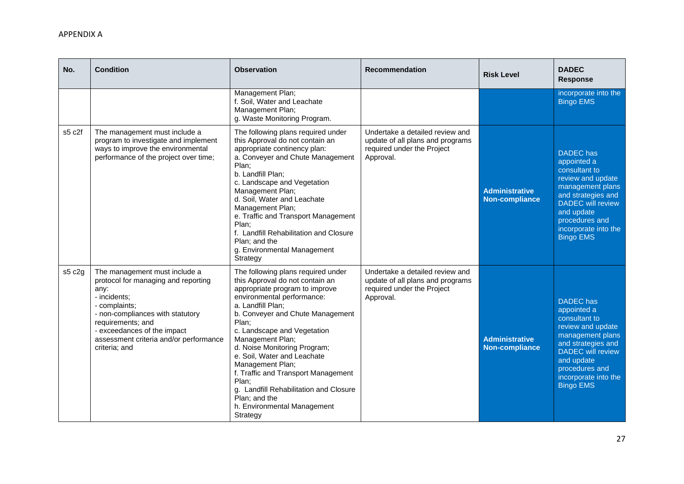| No.    | <b>Condition</b>                                                                                                                                                                                                                                                 | <b>Observation</b>                                                                                                                                                                                                                                                                                                                                                                                                                                                                                  | Recommendation                                                                                                 | <b>Risk Level</b>                              | <b>DADEC</b><br><b>Response</b>                                                                                                                                                                                         |
|--------|------------------------------------------------------------------------------------------------------------------------------------------------------------------------------------------------------------------------------------------------------------------|-----------------------------------------------------------------------------------------------------------------------------------------------------------------------------------------------------------------------------------------------------------------------------------------------------------------------------------------------------------------------------------------------------------------------------------------------------------------------------------------------------|----------------------------------------------------------------------------------------------------------------|------------------------------------------------|-------------------------------------------------------------------------------------------------------------------------------------------------------------------------------------------------------------------------|
|        |                                                                                                                                                                                                                                                                  | Management Plan;<br>f. Soil, Water and Leachate<br>Management Plan;<br>g. Waste Monitoring Program.                                                                                                                                                                                                                                                                                                                                                                                                 |                                                                                                                |                                                | incorporate into the<br><b>Bingo EMS</b>                                                                                                                                                                                |
| s5 c2f | The management must include a<br>program to investigate and implement<br>ways to improve the environmental<br>performance of the project over time;                                                                                                              | The following plans required under<br>this Approval do not contain an<br>appropriate continency plan:<br>a. Conveyer and Chute Management<br>Plan;<br>b. Landfill Plan;<br>c. Landscape and Vegetation<br>Management Plan;<br>d. Soil, Water and Leachate<br>Management Plan;<br>e. Traffic and Transport Management<br>Plan;<br>f. Landfill Rehabilitation and Closure<br>Plan; and the<br>g. Environmental Management<br>Strategy                                                                 | Undertake a detailed review and<br>update of all plans and programs<br>required under the Project<br>Approval. | <b>Administrative</b><br><b>Non-compliance</b> | <b>DADEC</b> has<br>appointed a<br>consultant to<br>review and update<br>management plans<br>and strategies and<br><b>DADEC</b> will review<br>and update<br>procedures and<br>incorporate into the<br><b>Bingo EMS</b> |
| s5 c2g | The management must include a<br>protocol for managing and reporting<br>any:<br>- incidents;<br>- complaints;<br>- non-compliances with statutory<br>requirements; and<br>- exceedances of the impact<br>assessment criteria and/or performance<br>criteria; and | The following plans required under<br>this Approval do not contain an<br>appropriate program to improve<br>environmental performance:<br>a. Landfill Plan;<br>b. Conveyer and Chute Management<br>Plan;<br>c. Landscape and Vegetation<br>Management Plan;<br>d. Noise Monitoring Program;<br>e. Soil, Water and Leachate<br>Management Plan;<br>f. Traffic and Transport Management<br>Plan;<br>g. Landfill Rehabilitation and Closure<br>Plan; and the<br>h. Environmental Management<br>Strategy | Undertake a detailed review and<br>update of all plans and programs<br>required under the Project<br>Approval. | <b>Administrative</b><br><b>Non-compliance</b> | <b>DADEC</b> has<br>appointed a<br>consultant to<br>review and update<br>management plans<br>and strategies and<br><b>DADEC</b> will review<br>and update<br>procedures and<br>incorporate into the<br><b>Bingo EMS</b> |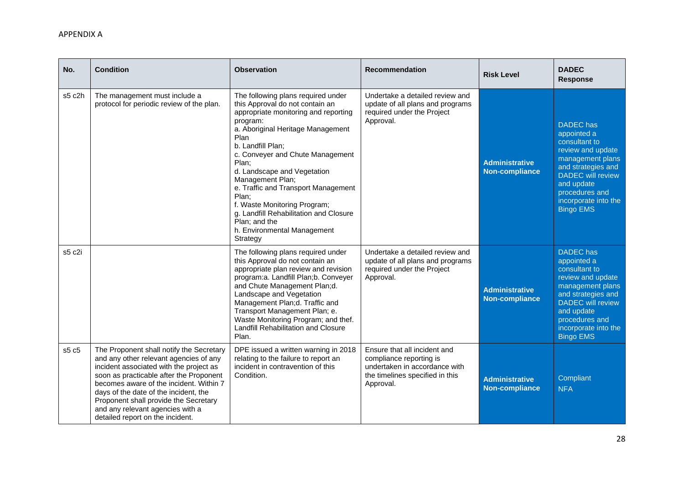| No.    | <b>Condition</b>                                                                                                                                                                                                                                                                                                                                                              | <b>Observation</b>                                                                                                                                                                                                                                                                                                                                                                                                                                                                | <b>Recommendation</b>                                                                                                                    | <b>Risk Level</b>                              | <b>DADEC</b><br><b>Response</b>                                                                                                                                                                                         |
|--------|-------------------------------------------------------------------------------------------------------------------------------------------------------------------------------------------------------------------------------------------------------------------------------------------------------------------------------------------------------------------------------|-----------------------------------------------------------------------------------------------------------------------------------------------------------------------------------------------------------------------------------------------------------------------------------------------------------------------------------------------------------------------------------------------------------------------------------------------------------------------------------|------------------------------------------------------------------------------------------------------------------------------------------|------------------------------------------------|-------------------------------------------------------------------------------------------------------------------------------------------------------------------------------------------------------------------------|
| s5 c2h | The management must include a<br>protocol for periodic review of the plan.                                                                                                                                                                                                                                                                                                    | The following plans required under<br>this Approval do not contain an<br>appropriate monitoring and reporting<br>program:<br>a. Aboriginal Heritage Management<br>Plan<br>b. Landfill Plan;<br>c. Conveyer and Chute Management<br>Plan;<br>d. Landscape and Vegetation<br>Management Plan;<br>e. Traffic and Transport Management<br>Plan:<br>f. Waste Monitoring Program;<br>g. Landfill Rehabilitation and Closure<br>Plan; and the<br>h. Environmental Management<br>Strategy | Undertake a detailed review and<br>update of all plans and programs<br>required under the Project<br>Approval.                           | <b>Administrative</b><br><b>Non-compliance</b> | <b>DADEC</b> has<br>appointed a<br>consultant to<br>review and update<br>management plans<br>and strategies and<br><b>DADEC</b> will review<br>and update<br>procedures and<br>incorporate into the<br><b>Bingo EMS</b> |
| s5 c2i |                                                                                                                                                                                                                                                                                                                                                                               | The following plans required under<br>this Approval do not contain an<br>appropriate plan review and revision<br>program:a. Landfill Plan;b. Conveyer<br>and Chute Management Plan;d.<br>Landscape and Vegetation<br>Management Plan;d. Traffic and<br>Transport Management Plan; e.<br>Waste Monitoring Program; and thef.<br>Landfill Rehabilitation and Closure<br>Plan.                                                                                                       | Undertake a detailed review and<br>update of all plans and programs<br>required under the Project<br>Approval.                           | <b>Administrative</b><br>Non-compliance        | <b>DADEC</b> has<br>appointed a<br>consultant to<br>review and update<br>management plans<br>and strategies and<br><b>DADEC</b> will review<br>and update<br>procedures and<br>incorporate into the<br><b>Bingo EMS</b> |
| s5 c5  | The Proponent shall notify the Secretary<br>and any other relevant agencies of any<br>incident associated with the project as<br>soon as practicable after the Proponent<br>becomes aware of the incident. Within 7<br>days of the date of the incident, the<br>Proponent shall provide the Secretary<br>and any relevant agencies with a<br>detailed report on the incident. | DPE issued a written warning in 2018<br>relating to the failure to report an<br>incident in contravention of this<br>Condition.                                                                                                                                                                                                                                                                                                                                                   | Ensure that all incident and<br>compliance reporting is<br>undertaken in accordance with<br>the timelines specified in this<br>Approval. | <b>Administrative</b><br><b>Non-compliance</b> | Compliant<br><b>NFA</b>                                                                                                                                                                                                 |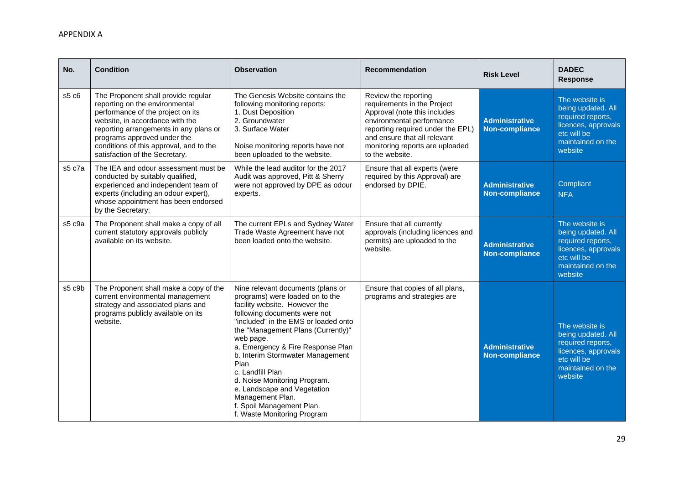| No.    | <b>Condition</b>                                                                                                                                                                                                                                                                                    | <b>Observation</b>                                                                                                                                                                                                                                                                                                                                                                                                                                                                   | <b>Recommendation</b>                                                                                                                                                                                                                       | <b>Risk Level</b>                              | <b>DADEC</b><br><b>Response</b>                                                                                                 |
|--------|-----------------------------------------------------------------------------------------------------------------------------------------------------------------------------------------------------------------------------------------------------------------------------------------------------|--------------------------------------------------------------------------------------------------------------------------------------------------------------------------------------------------------------------------------------------------------------------------------------------------------------------------------------------------------------------------------------------------------------------------------------------------------------------------------------|---------------------------------------------------------------------------------------------------------------------------------------------------------------------------------------------------------------------------------------------|------------------------------------------------|---------------------------------------------------------------------------------------------------------------------------------|
| s5 c6  | The Proponent shall provide regular<br>reporting on the environmental<br>performance of the project on its<br>website, in accordance with the<br>reporting arrangements in any plans or<br>programs approved under the<br>conditions of this approval, and to the<br>satisfaction of the Secretary. | The Genesis Website contains the<br>following monitoring reports:<br>1. Dust Deposition<br>2. Groundwater<br>3. Surface Water<br>Noise monitoring reports have not<br>been uploaded to the website.                                                                                                                                                                                                                                                                                  | Review the reporting<br>requirements in the Project<br>Approval (note this includes<br>environmental performance<br>reporting required under the EPL)<br>and ensure that all relevant<br>monitoring reports are uploaded<br>to the website. | <b>Administrative</b><br><b>Non-compliance</b> | The website is<br>being updated. All<br>required reports,<br>licences, approvals<br>etc will be<br>maintained on the<br>website |
| s5 c7a | The IEA and odour assessment must be<br>conducted by suitably qualified,<br>experienced and independent team of<br>experts (including an odour expert),<br>whose appointment has been endorsed<br>by the Secretary;                                                                                 | While the lead auditor for the 2017<br>Audit was approved, Pitt & Sherry<br>were not approved by DPE as odour<br>experts.                                                                                                                                                                                                                                                                                                                                                            | Ensure that all experts (were<br>required by this Approval) are<br>endorsed by DPIE.                                                                                                                                                        | <b>Administrative</b><br><b>Non-compliance</b> | Compliant<br><b>NFA</b>                                                                                                         |
| s5 c9a | The Proponent shall make a copy of all<br>current statutory approvals publicly<br>available on its website.                                                                                                                                                                                         | The current EPLs and Sydney Water<br>Trade Waste Agreement have not<br>been loaded onto the website.                                                                                                                                                                                                                                                                                                                                                                                 | Ensure that all currently<br>approvals (including licences and<br>permits) are uploaded to the<br>website.                                                                                                                                  | <b>Administrative</b><br>Non-compliance        | The website is<br>being updated. All<br>required reports,<br>licences, approvals<br>etc will be<br>maintained on the<br>website |
| s5 c9b | The Proponent shall make a copy of the<br>current environmental management<br>strategy and associated plans and<br>programs publicly available on its<br>website.                                                                                                                                   | Nine relevant documents (plans or<br>programs) were loaded on to the<br>facility website. However the<br>following documents were not<br>"included" in the EMS or loaded onto<br>the "Management Plans (Currently)"<br>web page.<br>a. Emergency & Fire Response Plan<br>b. Interim Stormwater Management<br>Plan<br>c. Landfill Plan<br>d. Noise Monitoring Program.<br>e. Landscape and Vegetation<br>Management Plan.<br>f. Spoil Management Plan.<br>f. Waste Monitoring Program | Ensure that copies of all plans,<br>programs and strategies are                                                                                                                                                                             | <b>Administrative</b><br><b>Non-compliance</b> | The website is<br>being updated. All<br>required reports,<br>licences, approvals<br>etc will be<br>maintained on the<br>website |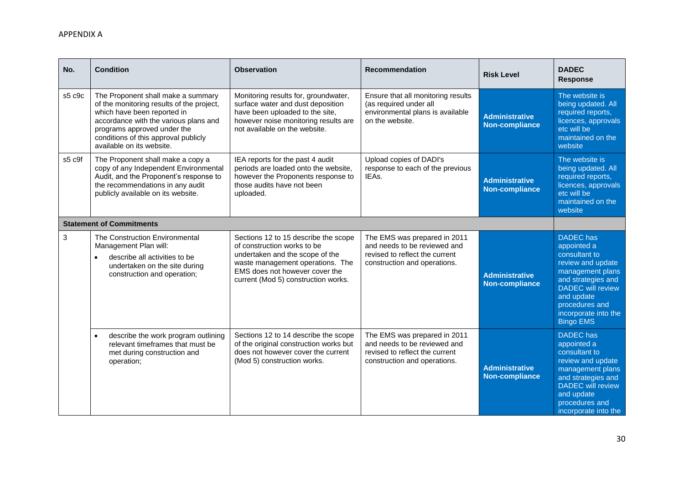| No.                             | <b>Condition</b>                                                                                                                                                                                                                                            | <b>Observation</b>                                                                                                                                                                                                  | <b>Recommendation</b>                                                                                                          | <b>Risk Level</b>                              | <b>DADEC</b><br><b>Response</b>                                                                                                                                                                                         |  |
|---------------------------------|-------------------------------------------------------------------------------------------------------------------------------------------------------------------------------------------------------------------------------------------------------------|---------------------------------------------------------------------------------------------------------------------------------------------------------------------------------------------------------------------|--------------------------------------------------------------------------------------------------------------------------------|------------------------------------------------|-------------------------------------------------------------------------------------------------------------------------------------------------------------------------------------------------------------------------|--|
| s5 c9c                          | The Proponent shall make a summary<br>of the monitoring results of the project,<br>which have been reported in<br>accordance with the various plans and<br>programs approved under the<br>conditions of this approval publicly<br>available on its website. | Monitoring results for, groundwater,<br>surface water and dust deposition<br>have been uploaded to the site,<br>however noise monitoring results are<br>not available on the website.                               | Ensure that all monitoring results<br>(as required under all<br>environmental plans is available<br>on the website.            | <b>Administrative</b><br><b>Non-compliance</b> | The website is<br>being updated. All<br>required reports,<br>licences, approvals<br>etc will be<br>maintained on the<br>website                                                                                         |  |
| s5 c9f                          | The Proponent shall make a copy a<br>copy of any Independent Environmental<br>Audit, and the Proponent's response to<br>the recommendations in any audit<br>publicly available on its website.                                                              | IEA reports for the past 4 audit<br>periods are loaded onto the website,<br>however the Proponents response to<br>those audits have not been<br>uploaded.                                                           | Upload copies of DADI's<br>response to each of the previous<br>IEAs.                                                           | <b>Administrative</b><br><b>Non-compliance</b> | The website is<br>being updated. All<br>required reports,<br>licences, approvals<br>etc will be<br>maintained on the<br>website                                                                                         |  |
| <b>Statement of Commitments</b> |                                                                                                                                                                                                                                                             |                                                                                                                                                                                                                     |                                                                                                                                |                                                |                                                                                                                                                                                                                         |  |
| 3                               | The Construction Environmental<br>Management Plan will:<br>describe all activities to be<br>undertaken on the site during<br>construction and operation;                                                                                                    | Sections 12 to 15 describe the scope<br>of construction works to be<br>undertaken and the scope of the<br>waste management operations. The<br>EMS does not however cover the<br>current (Mod 5) construction works. | The EMS was prepared in 2011<br>and needs to be reviewed and<br>revised to reflect the current<br>construction and operations. | <b>Administrative</b><br><b>Non-compliance</b> | <b>DADEC</b> has<br>appointed a<br>consultant to<br>review and update<br>management plans<br>and strategies and<br><b>DADEC</b> will review<br>and update<br>procedures and<br>incorporate into the<br><b>Bingo EMS</b> |  |
|                                 | describe the work program outlining<br>relevant timeframes that must be<br>met during construction and<br>operation;                                                                                                                                        | Sections 12 to 14 describe the scope<br>of the original construction works but<br>does not however cover the current<br>(Mod 5) construction works.                                                                 | The EMS was prepared in 2011<br>and needs to be reviewed and<br>revised to reflect the current<br>construction and operations. | <b>Administrative</b><br><b>Non-compliance</b> | <b>DADEC</b> has<br>appointed a<br>consultant to<br>review and update<br>management plans<br>and strategies and<br><b>DADEC</b> will review<br>and update<br>procedures and<br>incorporate into the                     |  |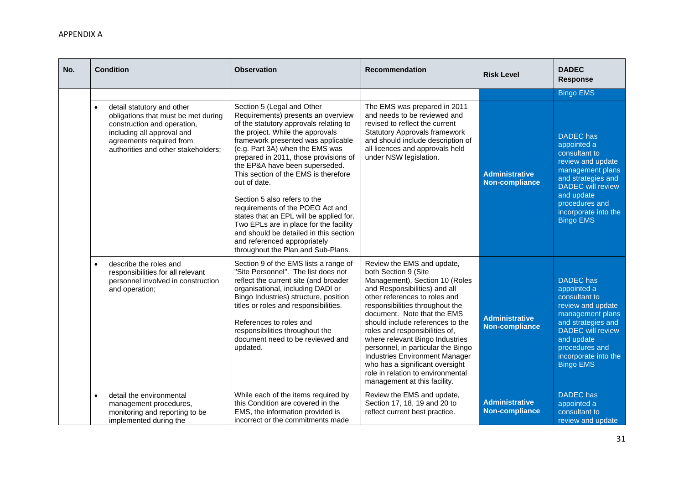| No. | <b>Condition</b>                                                                                                                                                                                  | <b>Observation</b>                                                                                                                                                                                                                                                                                                                                                                                                                                                                                                                                                                                                                  | <b>Recommendation</b>                                                                                                                                                                                                                                                                                                                                                                                                                                                                                                    | <b>Risk Level</b>                              | <b>DADEC</b><br><b>Response</b>                                                                                                                                                                                         |
|-----|---------------------------------------------------------------------------------------------------------------------------------------------------------------------------------------------------|-------------------------------------------------------------------------------------------------------------------------------------------------------------------------------------------------------------------------------------------------------------------------------------------------------------------------------------------------------------------------------------------------------------------------------------------------------------------------------------------------------------------------------------------------------------------------------------------------------------------------------------|--------------------------------------------------------------------------------------------------------------------------------------------------------------------------------------------------------------------------------------------------------------------------------------------------------------------------------------------------------------------------------------------------------------------------------------------------------------------------------------------------------------------------|------------------------------------------------|-------------------------------------------------------------------------------------------------------------------------------------------------------------------------------------------------------------------------|
|     |                                                                                                                                                                                                   |                                                                                                                                                                                                                                                                                                                                                                                                                                                                                                                                                                                                                                     |                                                                                                                                                                                                                                                                                                                                                                                                                                                                                                                          |                                                | <b>Bingo EMS</b>                                                                                                                                                                                                        |
|     | detail statutory and other<br>obligations that must be met during<br>construction and operation,<br>including all approval and<br>agreements required from<br>authorities and other stakeholders; | Section 5 (Legal and Other<br>Requirements) presents an overview<br>of the statutory approvals relating to<br>the project. While the approvals<br>framework presented was applicable<br>(e.g. Part 3A) when the EMS was<br>prepared in 2011, those provisions of<br>the EP&A have been superseded.<br>This section of the EMS is therefore<br>out of date.<br>Section 5 also refers to the<br>requirements of the POEO Act and<br>states that an EPL will be applied for.<br>Two EPLs are in place for the facility<br>and should be detailed in this section<br>and referenced appropriately<br>throughout the Plan and Sub-Plans. | The EMS was prepared in 2011<br>and needs to be reviewed and<br>revised to reflect the current<br><b>Statutory Approvals framework</b><br>and should include description of<br>all licences and approvals held<br>under NSW legislation.                                                                                                                                                                                                                                                                                 | <b>Administrative</b><br><b>Non-compliance</b> | <b>DADEC</b> has<br>appointed a<br>consultant to<br>review and update<br>management plans<br>and strategies and<br><b>DADEC</b> will review<br>and update<br>procedures and<br>incorporate into the<br><b>Bingo EMS</b> |
|     | describe the roles and<br>responsibilities for all relevant<br>personnel involved in construction<br>and operation;                                                                               | Section 9 of the EMS lists a range of<br>"Site Personnel". The list does not<br>reflect the current site (and broader<br>organisational, including DADI or<br>Bingo Industries) structure, position<br>titles or roles and responsibilities.<br>References to roles and<br>responsibilities throughout the<br>document need to be reviewed and<br>updated.                                                                                                                                                                                                                                                                          | Review the EMS and update,<br>both Section 9 (Site<br>Management), Section 10 (Roles<br>and Responsibilities) and all<br>other references to roles and<br>responsibilities throughout the<br>document. Note that the EMS<br>should include references to the<br>roles and responsibilities of,<br>where relevant Bingo Industries<br>personnel, in particular the Bingo<br><b>Industries Environment Manager</b><br>who has a significant oversight<br>role in relation to environmental<br>management at this facility. | <b>Administrative</b><br><b>Non-compliance</b> | <b>DADEC</b> has<br>appointed a<br>consultant to<br>review and update<br>management plans<br>and strategies and<br><b>DADEC</b> will review<br>and update<br>procedures and<br>incorporate into the<br><b>Bingo EMS</b> |
|     | detail the environmental<br>management procedures,<br>monitoring and reporting to be<br>implemented during the                                                                                    | While each of the items required by<br>this Condition are covered in the<br>EMS, the information provided is<br>incorrect or the commitments made                                                                                                                                                                                                                                                                                                                                                                                                                                                                                   | Review the EMS and update,<br>Section 17, 18, 19 and 20 to<br>reflect current best practice.                                                                                                                                                                                                                                                                                                                                                                                                                             | <b>Administrative</b><br><b>Non-compliance</b> | DADEC has<br>appointed a<br>consultant to<br>review and update                                                                                                                                                          |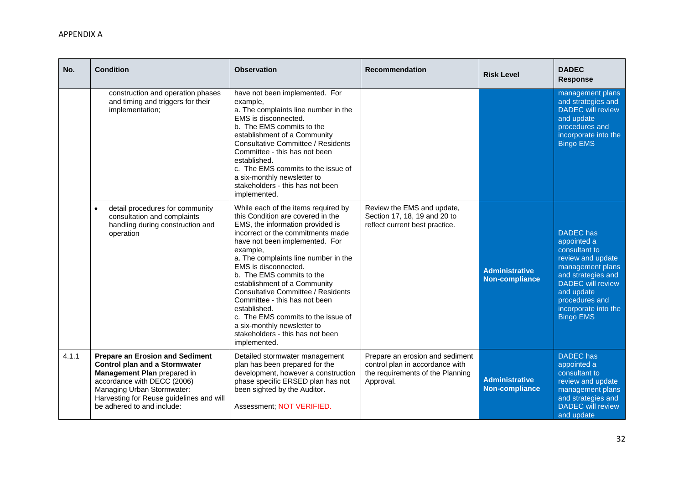| No.   | <b>Condition</b>                                                                                                                                                                                                                                     | <b>Observation</b>                                                                                                                                                                                                                                                                                                                                                                                                                                                                                                                           | Recommendation                                                                                                      | <b>Risk Level</b>                              | <b>DADEC</b><br><b>Response</b>                                                                                                                                                                                         |
|-------|------------------------------------------------------------------------------------------------------------------------------------------------------------------------------------------------------------------------------------------------------|----------------------------------------------------------------------------------------------------------------------------------------------------------------------------------------------------------------------------------------------------------------------------------------------------------------------------------------------------------------------------------------------------------------------------------------------------------------------------------------------------------------------------------------------|---------------------------------------------------------------------------------------------------------------------|------------------------------------------------|-------------------------------------------------------------------------------------------------------------------------------------------------------------------------------------------------------------------------|
|       | construction and operation phases<br>and timing and triggers for their<br>implementation;                                                                                                                                                            | have not been implemented. For<br>example,<br>a. The complaints line number in the<br>EMS is disconnected.<br>b. The EMS commits to the<br>establishment of a Community<br><b>Consultative Committee / Residents</b><br>Committee - this has not been<br>established.<br>c. The EMS commits to the issue of<br>a six-monthly newsletter to<br>stakeholders - this has not been<br>implemented.                                                                                                                                               |                                                                                                                     |                                                | management plans<br>and strategies and<br><b>DADEC</b> will review<br>and update<br>procedures and<br>incorporate into the<br><b>Bingo EMS</b>                                                                          |
|       | detail procedures for community<br>$\bullet$<br>consultation and complaints<br>handling during construction and<br>operation                                                                                                                         | While each of the items required by<br>this Condition are covered in the<br>EMS, the information provided is<br>incorrect or the commitments made<br>have not been implemented. For<br>example,<br>a. The complaints line number in the<br>EMS is disconnected.<br>b. The EMS commits to the<br>establishment of a Community<br>Consultative Committee / Residents<br>Committee - this has not been<br>established.<br>c. The EMS commits to the issue of<br>a six-monthly newsletter to<br>stakeholders - this has not been<br>implemented. | Review the EMS and update,<br>Section 17, 18, 19 and 20 to<br>reflect current best practice.                        | <b>Administrative</b><br><b>Non-compliance</b> | <b>DADEC</b> has<br>appointed a<br>consultant to<br>review and update<br>management plans<br>and strategies and<br><b>DADEC</b> will review<br>and update<br>procedures and<br>incorporate into the<br><b>Bingo EMS</b> |
| 4.1.1 | <b>Prepare an Erosion and Sediment</b><br><b>Control plan and a Stormwater</b><br>Management Plan prepared in<br>accordance with DECC (2006)<br>Managing Urban Stormwater:<br>Harvesting for Reuse guidelines and will<br>be adhered to and include: | Detailed stormwater management<br>plan has been prepared for the<br>development, however a construction<br>phase specific ERSED plan has not<br>been sighted by the Auditor.<br>Assessment; NOT VERIFIED.                                                                                                                                                                                                                                                                                                                                    | Prepare an erosion and sediment<br>control plan in accordance with<br>the requirements of the Planning<br>Approval. | <b>Administrative</b><br><b>Non-compliance</b> | <b>DADEC</b> has<br>appointed a<br>consultant to<br>review and update<br>management plans<br>and strategies and<br><b>DADEC</b> will review<br>and update                                                               |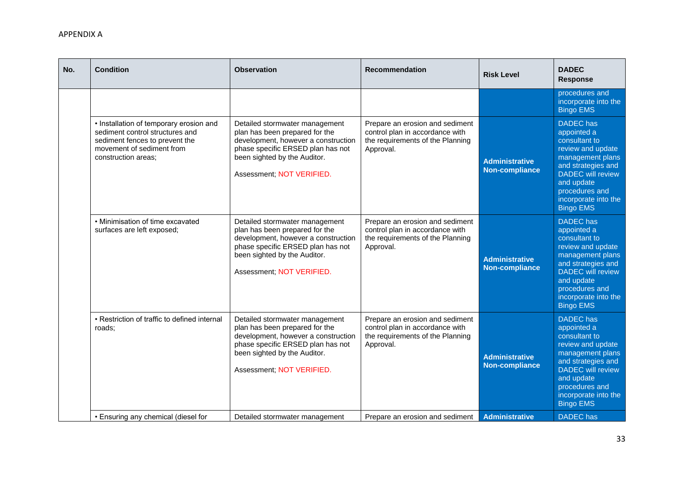| No. | <b>Condition</b>                                                                                                                                                 | <b>Observation</b>                                                                                                                                                                                        | <b>Recommendation</b>                                                                                               | <b>Risk Level</b>                              | <b>DADEC</b><br><b>Response</b>                                                                                                                                                                                         |
|-----|------------------------------------------------------------------------------------------------------------------------------------------------------------------|-----------------------------------------------------------------------------------------------------------------------------------------------------------------------------------------------------------|---------------------------------------------------------------------------------------------------------------------|------------------------------------------------|-------------------------------------------------------------------------------------------------------------------------------------------------------------------------------------------------------------------------|
|     |                                                                                                                                                                  |                                                                                                                                                                                                           |                                                                                                                     |                                                | procedures and<br>incorporate into the<br><b>Bingo EMS</b>                                                                                                                                                              |
|     | • Installation of temporary erosion and<br>sediment control structures and<br>sediment fences to prevent the<br>movement of sediment from<br>construction areas: | Detailed stormwater management<br>plan has been prepared for the<br>development, however a construction<br>phase specific ERSED plan has not<br>been sighted by the Auditor.<br>Assessment; NOT VERIFIED. | Prepare an erosion and sediment<br>control plan in accordance with<br>the requirements of the Planning<br>Approval. | <b>Administrative</b><br><b>Non-compliance</b> | <b>DADEC</b> has<br>appointed a<br>consultant to<br>review and update<br>management plans<br>and strategies and<br><b>DADEC</b> will review<br>and update<br>procedures and<br>incorporate into the<br><b>Bingo EMS</b> |
|     | • Minimisation of time excavated<br>surfaces are left exposed;                                                                                                   | Detailed stormwater management<br>plan has been prepared for the<br>development, however a construction<br>phase specific ERSED plan has not<br>been sighted by the Auditor.<br>Assessment; NOT VERIFIED. | Prepare an erosion and sediment<br>control plan in accordance with<br>the requirements of the Planning<br>Approval. | <b>Administrative</b><br><b>Non-compliance</b> | <b>DADEC</b> has<br>appointed a<br>consultant to<br>review and update<br>management plans<br>and strategies and<br><b>DADEC</b> will review<br>and update<br>procedures and<br>incorporate into the<br><b>Bingo EMS</b> |
|     | • Restriction of traffic to defined internal<br>roads:                                                                                                           | Detailed stormwater management<br>plan has been prepared for the<br>development, however a construction<br>phase specific ERSED plan has not<br>been sighted by the Auditor.<br>Assessment; NOT VERIFIED. | Prepare an erosion and sediment<br>control plan in accordance with<br>the requirements of the Planning<br>Approval. | <b>Administrative</b><br><b>Non-compliance</b> | <b>DADEC</b> has<br>appointed a<br>consultant to<br>review and update<br>management plans<br>and strategies and<br><b>DADEC</b> will review<br>and update<br>procedures and<br>incorporate into the<br><b>Bingo EMS</b> |
|     | • Ensuring any chemical (diesel for                                                                                                                              | Detailed stormwater management                                                                                                                                                                            | Prepare an erosion and sediment                                                                                     | Administrative                                 | <b>DADEC</b> has                                                                                                                                                                                                        |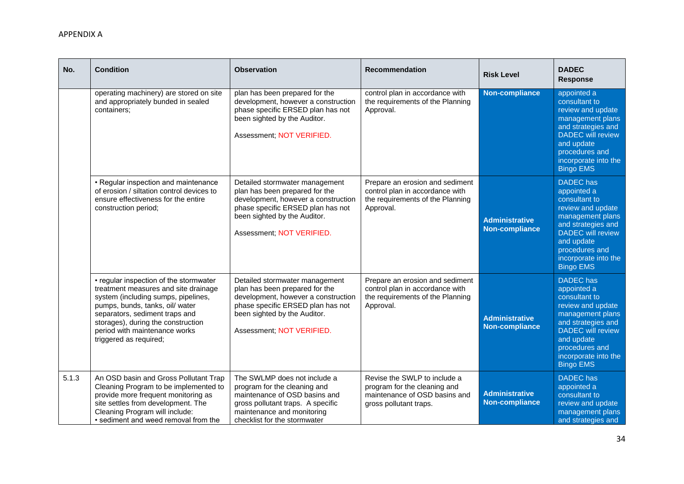| No.   | <b>Condition</b>                                                                                                                                                                                                                                                                            | <b>Observation</b>                                                                                                                                                                                        | <b>Recommendation</b>                                                                                                   | <b>Risk Level</b>                              | <b>DADEC</b><br><b>Response</b>                                                                                                                                                                                         |
|-------|---------------------------------------------------------------------------------------------------------------------------------------------------------------------------------------------------------------------------------------------------------------------------------------------|-----------------------------------------------------------------------------------------------------------------------------------------------------------------------------------------------------------|-------------------------------------------------------------------------------------------------------------------------|------------------------------------------------|-------------------------------------------------------------------------------------------------------------------------------------------------------------------------------------------------------------------------|
|       | operating machinery) are stored on site<br>and appropriately bunded in sealed<br>containers:                                                                                                                                                                                                | plan has been prepared for the<br>development, however a construction<br>phase specific ERSED plan has not<br>been sighted by the Auditor.<br>Assessment; NOT VERIFIED.                                   | control plan in accordance with<br>the requirements of the Planning<br>Approval.                                        | <b>Non-compliance</b>                          | appointed a<br>consultant to<br>review and update<br>management plans<br>and strategies and<br><b>DADEC</b> will review<br>and update<br>procedures and<br>incorporate into the<br><b>Bingo EMS</b>                     |
|       | • Regular inspection and maintenance<br>of erosion / siltation control devices to<br>ensure effectiveness for the entire<br>construction period;                                                                                                                                            | Detailed stormwater management<br>plan has been prepared for the<br>development, however a construction<br>phase specific ERSED plan has not<br>been sighted by the Auditor.<br>Assessment; NOT VERIFIED. | Prepare an erosion and sediment<br>control plan in accordance with<br>the requirements of the Planning<br>Approval.     | <b>Administrative</b><br><b>Non-compliance</b> | <b>DADEC</b> has<br>appointed a<br>consultant to<br>review and update<br>management plans<br>and strategies and<br><b>DADEC</b> will review<br>and update<br>procedures and<br>incorporate into the<br><b>Bingo EMS</b> |
|       | • regular inspection of the stormwater<br>treatment measures and site drainage<br>system (including sumps, pipelines,<br>pumps, bunds, tanks, oil/ water<br>separators, sediment traps and<br>storages), during the construction<br>period with maintenance works<br>triggered as required; | Detailed stormwater management<br>plan has been prepared for the<br>development, however a construction<br>phase specific ERSED plan has not<br>been sighted by the Auditor.<br>Assessment; NOT VERIFIED. | Prepare an erosion and sediment<br>control plan in accordance with<br>the requirements of the Planning<br>Approval.     | <b>Administrative</b><br><b>Non-compliance</b> | <b>DADEC</b> has<br>appointed a<br>consultant to<br>review and update<br>management plans<br>and strategies and<br><b>DADEC</b> will review<br>and update<br>procedures and<br>incorporate into the<br><b>Bingo EMS</b> |
| 5.1.3 | An OSD basin and Gross Pollutant Trap<br>Cleaning Program to be implemented to<br>provide more frequent monitoring as<br>site settles from development. The<br>Cleaning Program will include:<br>• sediment and weed removal from the                                                       | The SWLMP does not include a<br>program for the cleaning and<br>maintenance of OSD basins and<br>gross pollutant traps. A specific<br>maintenance and monitoring<br>checklist for the stormwater          | Revise the SWLP to include a<br>program for the cleaning and<br>maintenance of OSD basins and<br>gross pollutant traps. | <b>Administrative</b><br><b>Non-compliance</b> | <b>DADEC</b> has<br>appointed a<br>consultant to<br>review and update<br>management plans<br>and strategies and                                                                                                         |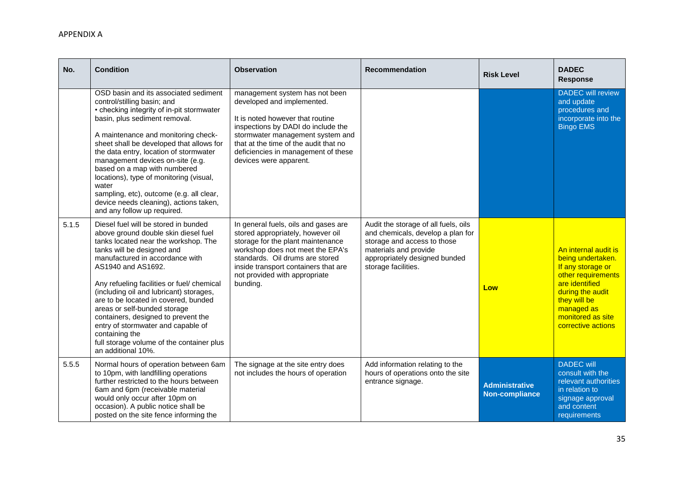| No.   | <b>Condition</b>                                                                                                                                                                                                                                                                                                                                                                                                                                                                                                                               | <b>Observation</b>                                                                                                                                                                                                                                                                   | <b>Recommendation</b>                                                                                                                                                                     | <b>Risk Level</b>                              | <b>DADEC</b><br>Response                                                                                                                                                                            |
|-------|------------------------------------------------------------------------------------------------------------------------------------------------------------------------------------------------------------------------------------------------------------------------------------------------------------------------------------------------------------------------------------------------------------------------------------------------------------------------------------------------------------------------------------------------|--------------------------------------------------------------------------------------------------------------------------------------------------------------------------------------------------------------------------------------------------------------------------------------|-------------------------------------------------------------------------------------------------------------------------------------------------------------------------------------------|------------------------------------------------|-----------------------------------------------------------------------------------------------------------------------------------------------------------------------------------------------------|
|       | OSD basin and its associated sediment<br>control/stilling basin; and<br>• checking integrity of in-pit stormwater<br>basin, plus sediment removal.<br>A maintenance and monitoring check-<br>sheet shall be developed that allows for<br>the data entry, location of stormwater<br>management devices on-site (e.g.<br>based on a map with numbered<br>locations), type of monitoring (visual,<br>water<br>sampling, etc), outcome (e.g. all clear,<br>device needs cleaning), actions taken,<br>and any follow up required.                   | management system has not been<br>developed and implemented.<br>It is noted however that routine<br>inspections by DADI do include the<br>stormwater management system and<br>that at the time of the audit that no<br>deficiencies in management of these<br>devices were apparent. |                                                                                                                                                                                           |                                                | <b>DADEC</b> will review<br>and update<br>procedures and<br>incorporate into the<br><b>Bingo EMS</b>                                                                                                |
| 5.1.5 | Diesel fuel will be stored in bunded<br>above ground double skin diesel fuel<br>tanks located near the workshop. The<br>tanks will be designed and<br>manufactured in accordance with<br>AS1940 and AS1692.<br>Any refueling facilities or fuel/ chemical<br>(including oil and lubricant) storages,<br>are to be located in covered, bunded<br>areas or self-bunded storage<br>containers, designed to prevent the<br>entry of stormwater and capable of<br>containing the<br>full storage volume of the container plus<br>an additional 10%. | In general fuels, oils and gases are<br>stored appropriately, however oil<br>storage for the plant maintenance<br>workshop does not meet the EPA's<br>standards. Oil drums are stored<br>inside transport containers that are<br>not provided with appropriate<br>bunding.           | Audit the storage of all fuels, oils<br>and chemicals, develop a plan for<br>storage and access to those<br>materials and provide<br>appropriately designed bunded<br>storage facilities. | Low                                            | An internal audit is<br>being undertaken.<br>If any storage or<br>other requirements<br>are identified<br>during the audit<br>they will be<br>managed as<br>monitored as site<br>corrective actions |
| 5.5.5 | Normal hours of operation between 6am<br>to 10pm, with landfilling operations<br>further restricted to the hours between<br>6am and 6pm (receivable material<br>would only occur after 10pm on<br>occasion). A public notice shall be<br>posted on the site fence informing the                                                                                                                                                                                                                                                                | The signage at the site entry does<br>not includes the hours of operation                                                                                                                                                                                                            | Add information relating to the<br>hours of operations onto the site<br>entrance signage.                                                                                                 | <b>Administrative</b><br><b>Non-compliance</b> | <b>DADEC</b> will<br>consult with the<br>relevant authorities<br>in relation to<br>signage approval<br>and content<br>requirements                                                                  |